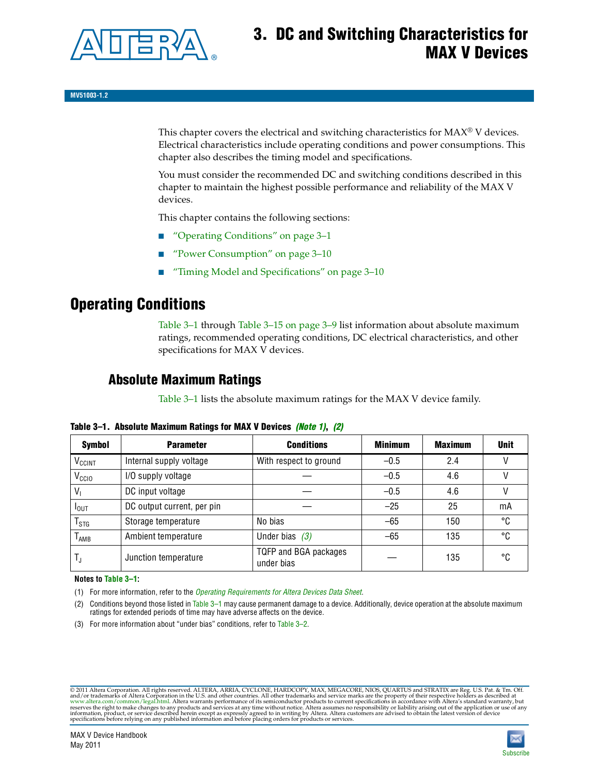

# **3. DC and Switching Characteristics for MAX V Devices**

**MV51003-1.2**

This chapter covers the electrical and switching characteristics for  $MAX^{\circ}$  V devices. Electrical characteristics include operating conditions and power consumptions. This chapter also describes the timing model and specifications.

You must consider the recommended DC and switching conditions described in this chapter to maintain the highest possible performance and reliability of the MAX V devices.

This chapter contains the following sections:

- ["Operating Conditions" on page 3–1](#page-0-4)
- ["Power Consumption" on page 3–10](#page-9-0)
- ["Timing Model and Specifications" on page 3–10](#page-9-1)

## <span id="page-0-4"></span>**Operating Conditions**

[Table 3–1](#page-0-0) through [Table 3–15 on page 3–9](#page-8-0) list information about absolute maximum ratings, recommended operating conditions, DC electrical characteristics, and other specifications for MAX V devices.

### **Absolute Maximum Ratings**

[Table 3–1](#page-0-0) lists the absolute maximum ratings for the MAX V device family.

| <b>Symbol</b>               | <b>Parameter</b>           | <b>Conditions</b>                   | <b>Minimum</b> | <b>Maximum</b> | <b>Unit</b> |
|-----------------------------|----------------------------|-------------------------------------|----------------|----------------|-------------|
| V <sub>CCINT</sub>          | Internal supply voltage    | With respect to ground              | $-0.5$         | 2.4            |             |
| V <sub>CCIO</sub>           | I/O supply voltage         |                                     | $-0.5$         | 4.6            |             |
| $V_1$                       | DC input voltage           |                                     | $-0.5$         | 4.6            |             |
| $I_{\text{OUT}}$            | DC output current, per pin |                                     | $-25$          | 25             | mA          |
| $\mathsf{T}_{\textsf{STG}}$ | Storage temperature        | No bias                             | $-65$          | 150            | °C          |
| $T_{AMB}$                   | Ambient temperature        | Under bias $(3)$                    | $-65$          | 135            | °C          |
| $T_{\text{J}}$              | Junction temperature       | TQFP and BGA packages<br>under bias |                | 135            | ۰c          |

<span id="page-0-0"></span>**Table 3–1. Absolute Maximum Ratings for MAX V Devices** *[\(Note 1\)](#page-0-1)***,** *[\(2\)](#page-0-2)*

**Notes to [Table 3–1](#page-0-0):**

<span id="page-0-1"></span>(1) For more information, refer to the *[Operating Requirements for Altera Devices Data Sheet](http://www.altera.com/literature/ds/dsoprq.pdf)*.

<span id="page-0-2"></span>(2) Conditions beyond those listed in [Table 3–1](#page-0-0) may cause permanent damage to a device. Additionally, device operation at the absolute maximum ratings for extended periods of time may have adverse affects on the device.

<span id="page-0-3"></span>(3) For more information about "under bias" conditions, refer to [Table 3–2](#page-1-0).

@2011 Altera Corporation. All rights reserved. ALTERA, ARRIA, CYCLONE, HARDCOPY, MAX, MEGACORE, NIOS, QUARTUS and STRATIX are Reg. U.S. Pat. & Tm. Off. [and/or trademarks of Altera Corporat](http://www.altera.com/common/legal.html)ion in the U.S. and other countrie

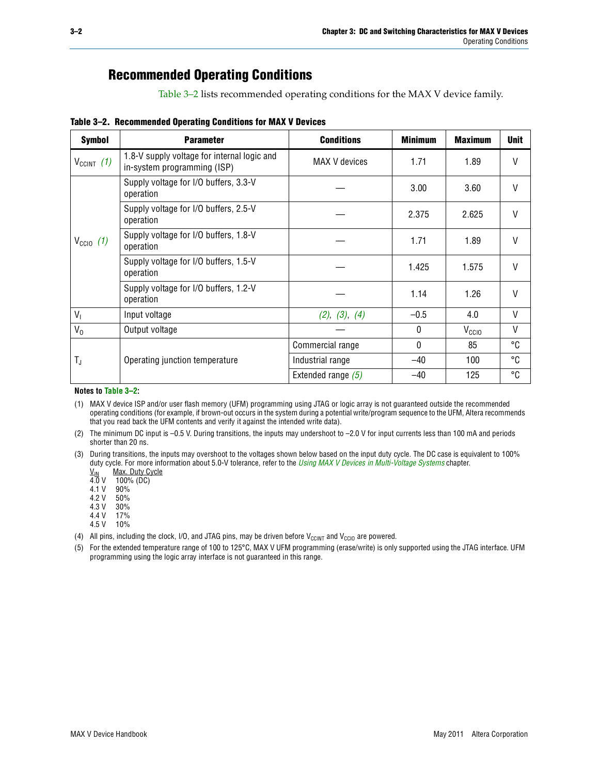## **Recommended Operating Conditions**

[Table 3–2](#page-1-0) lists recommended operating conditions for the MAX V device family.

<span id="page-1-0"></span>**Table 3–2. Recommended Operating Conditions for MAX V Devices**

| <b>Symbol</b>        | <b>Parameter</b>                                                           | <b>Conditions</b>    | <b>Minimum</b> | <b>Maximum</b>    | <b>Unit</b>  |
|----------------------|----------------------------------------------------------------------------|----------------------|----------------|-------------------|--------------|
| $V_{C CINT}$ (1)     | 1.8-V supply voltage for internal logic and<br>in-system programming (ISP) | MAX V devices        | 1.71           | 1.89              | $\mathsf{V}$ |
|                      | Supply voltage for I/O buffers, 3.3-V<br>operation                         |                      | 3.00           | 3.60              | $\mathsf{V}$ |
|                      | Supply voltage for I/O buffers, 2.5-V<br>operation                         |                      | 2.375          | 2.625             | $\mathsf{V}$ |
| $V_{\text{CCIO}}(1)$ | Supply voltage for I/O buffers, 1.8-V<br>operation                         |                      | 1.71           | 1.89              | $\mathsf{V}$ |
|                      | Supply voltage for I/O buffers, 1.5-V<br>operation                         |                      | 1.425          | 1.575             | $\mathsf{V}$ |
|                      | Supply voltage for I/O buffers, 1.2-V<br>operation                         |                      | 1.14           | 1.26              | V            |
| $V_{1}$              | Input voltage                                                              | (2), (3), (4)        | $-0.5$         | 4.0               | V            |
| $V_0$                | Output voltage                                                             |                      | 0              | V <sub>CCIO</sub> | $\vee$       |
|                      |                                                                            | Commercial range     | 0              | 85                | °C           |
| T,                   | Operating junction temperature                                             | Industrial range     | $-40$          | 100               | °C           |
|                      |                                                                            | Extended range $(5)$ | $-40$          | 125               | °C           |

#### **Notes to [Table 3–2](#page-1-0):**

<span id="page-1-1"></span>(1) MAX V device ISP and/or user flash memory (UFM) programming using JTAG or logic array is not guaranteed outside the recommended operating conditions (for example, if brown-out occurs in the system during a potential write/program sequence to the UFM, Altera recommends that you read back the UFM contents and verify it against the intended write data).

<span id="page-1-2"></span>(2) The minimum DC input is –0.5 V. During transitions, the inputs may undershoot to –2.0 V for input currents less than 100 mA and periods shorter than 20 ns.

<span id="page-1-3"></span>(3) During transitions, the inputs may overshoot to the voltages shown below based on the input duty cycle. The DC case is equivalent to 100% duty cycle. For more information about 5.0-V tolerance, refer to the *Using MAX V Devices in Multi-Voltage Systems* chapter.<br>
<u>V<sub>IN</sub> Max. Duty Cycle</u><br>
4.0 V 100% (DC)

Max. Duty Cycle

 $100\%$  (DC)

4.1 V 90%

4.2 V 50%

4.3 V 30%<br>4.4 V 17%

 $4.4 V$ 4.5 V 10%

<span id="page-1-4"></span>(4) All pins, including the clock, I/O, and JTAG pins, may be driven before  $V_{C C I N T}$  and  $V_{C C I O}$  are powered.

<span id="page-1-5"></span>(5) For the extended temperature range of 100 to 125°C, MAX V UFM programming (erase/write) is only supported using the JTAG interface. UFM programming using the logic array interface is not guaranteed in this range.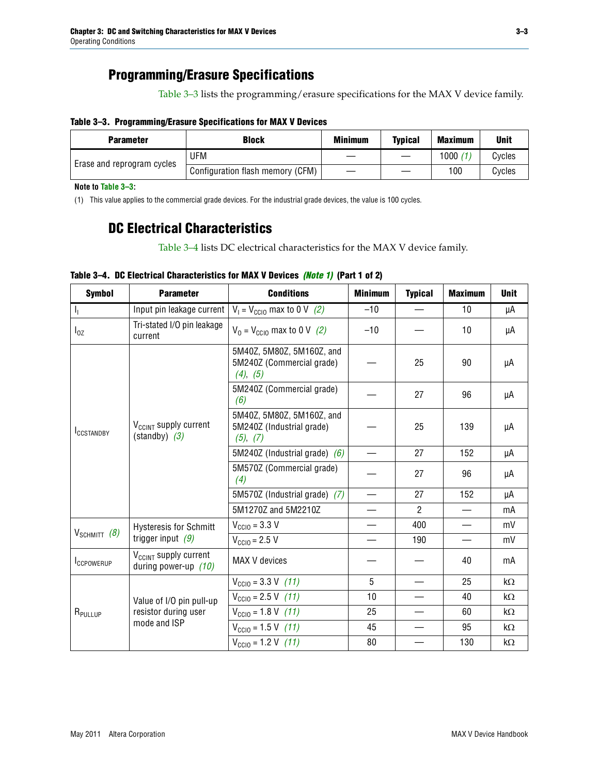### **Programming/Erasure Specifications**

[Table 3–3](#page-2-0) lists the programming/erasure specifications for the MAX V device family.

#### <span id="page-2-0"></span>**Table 3–3. Programming/Erasure Specifications for MAX V Devices**

| <b>Block</b><br><b>Parameter</b> |                                  | <b>Minimum</b> | <b>Typical</b> | <b>Maximum</b> | <b>Unit</b> |
|----------------------------------|----------------------------------|----------------|----------------|----------------|-------------|
| Erase and reprogram cycles       | UFM                              |                |                | 1000           | Cycles      |
|                                  | Configuration flash memory (CFM) |                |                | 100            | Cycles      |

**Note to [Table 3–3:](#page-2-0)**

<span id="page-2-2"></span>(1) This value applies to the commercial grade devices. For the industrial grade devices, the value is 100 cycles.

### **DC Electrical Characteristics**

[Table 3–4](#page-2-1) lists DC electrical characteristics for the MAX V device family.

| <b>Symbol</b>       | <b>Parameter</b>                                            | <b>Conditions</b>                                                  | <b>Minimum</b>           | <b>Typical</b> | <b>Maximum</b> | <b>Unit</b> |
|---------------------|-------------------------------------------------------------|--------------------------------------------------------------------|--------------------------|----------------|----------------|-------------|
| $\mathbf{l}_1$      | Input pin leakage current                                   | $V_1 = V_{\text{CC10}}$ max to 0 V (2)                             | $-10$                    |                | 10             | μA          |
| $I_{0Z}$            | Tri-stated I/O pin leakage<br>current                       | $V_0 = V_{\text{CC10}}$ max to 0 V (2)                             | $-10$                    |                | 10             | μA          |
|                     |                                                             | 5M40Z, 5M80Z, 5M160Z, and<br>5M240Z (Commercial grade)<br>(4), (5) |                          | 25             | 90             | μA          |
|                     |                                                             | 5M240Z (Commercial grade)<br>(6)                                   |                          | 27             | 96             | μA          |
| <b>ICCSTANDBY</b>   | V <sub>CCINT</sub> supply current<br>$(statably)$ (3)       | 5M40Z, 5M80Z, 5M160Z, and<br>5M240Z (Industrial grade)<br>(5), (7) |                          | 25             | 139            | μA          |
|                     |                                                             | 5M240Z (Industrial grade) $(6)$                                    |                          | 27             | 152            | μA          |
|                     |                                                             | 5M570Z (Commercial grade)<br>(4)                                   |                          | 27             | 96             | μA          |
|                     |                                                             | 5M570Z (Industrial grade) (7)                                      |                          | 27             | 152            | μA          |
|                     |                                                             | 5M1270Z and 5M2210Z                                                |                          | $\overline{2}$ |                | mA          |
|                     | <b>Hysteresis for Schmitt</b>                               | $V_{\text{CC10}} = 3.3 \text{ V}$                                  |                          | 400            |                | mV          |
| $V_{SCHMIT}$ (8)    | trigger input $(9)$                                         | $V_{\text{CC10}} = 2.5 V$                                          | $\overline{\phantom{0}}$ | 190            |                | mV          |
| <b>ICCPOWERUP</b>   | V <sub>CCINT</sub> supply current<br>during power-up $(10)$ | MAX V devices                                                      |                          |                | 40             | mA          |
|                     |                                                             | $V_{\text{CC10}} = 3.3 \text{ V} (11)$                             | 5                        |                | 25             | kΩ          |
| R <sub>PULLUP</sub> | Value of I/O pin pull-up                                    | $V_{\text{CGI0}} = 2.5 \text{ V} (11)$                             | 10                       |                | 40             | $k\Omega$   |
|                     | resistor during user                                        | $V_{\text{CCIO}} = 1.8 \text{ V} (11)$                             | 25                       |                | 60             | kΩ          |
|                     | mode and ISP                                                | $V_{\text{CCIO}} = 1.5 \text{ V} (11)$                             | 45                       |                | 95             | kΩ          |
|                     |                                                             | $V_{\text{CC10}} = 1.2 \text{ V}$ (11)                             | 80                       |                | 130            | kΩ          |

#### <span id="page-2-1"></span>**Table 3–4. DC Electrical Characteristics for MAX V Devices** *[\(Note 1\)](#page-3-0)* **(Part 1 of 2)**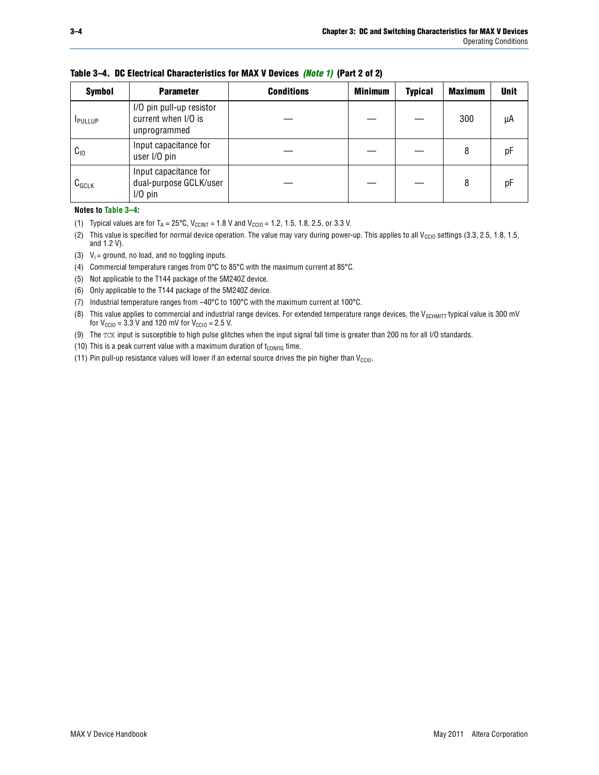| <b>Symbol</b>  | <b>Parameter</b>                                                | <b>Conditions</b> | <b>Minimum</b> | <b>Typical</b> | <b>Maximum</b> | <b>Unit</b> |
|----------------|-----------------------------------------------------------------|-------------------|----------------|----------------|----------------|-------------|
| <b>IPULLUP</b> | I/O pin pull-up resistor<br>current when I/O is<br>unprogrammed |                   |                |                | 300            | μA          |
| $C_{10}$       | Input capacitance for<br>user I/O pin                           |                   |                |                | 8              | рF          |
| $C_{GCLK}$     | Input capacitance for<br>dual-purpose GCLK/user<br>$I/O$ pin    |                   |                |                | 8              | рF          |

**Table 3–4. DC Electrical Characteristics for MAX V Devices** *(Note 1)* **(Part 2 of 2)**

**Notes to [Table 3–4](#page-2-1):**

- <span id="page-3-0"></span>(1) Typical values are for  $T_A = 25^{\circ}\text{C}$ ,  $V_{\text{CCINT}} = 1.8 \text{ V}$  and  $V_{\text{CCIO}} = 1.2, 1.5, 1.8, 2.5,$  or 3.3 V.
- <span id="page-3-1"></span>(2) This value is specified for normal device operation. The value may vary during power-up. This applies to all V<sub>CCIO</sub> settings (3.3, 2.5, 1.8, 1.5, and 1.2 V).
- <span id="page-3-2"></span>(3)  $V_1$  = ground, no load, and no toggling inputs.
- <span id="page-3-3"></span>(4) Commercial temperature ranges from 0°C to 85°C with the maximum current at 85°C.
- <span id="page-3-9"></span>(5) Not applicable to the T144 package of the 5M240Z device.
- <span id="page-3-10"></span>(6) Only applicable to the T144 package of the 5M240Z device.
- <span id="page-3-4"></span>(7) Industrial temperature ranges from –40°C to 100°C with the maximum current at 100°C.
- <span id="page-3-5"></span>(8) This value applies to commercial and industrial range devices. For extended temperature range devices, the  $V_{SCHMIT}$  typical value is 300 mV for  $V_{\text{CCIO}} = 3.3$  V and 120 mV for  $V_{\text{CCIO}} = 2.5$  V.
- <span id="page-3-6"></span>(9) The TCK input is susceptible to high pulse glitches when the input signal fall time is greater than 200 ns for all I/O standards.
- <span id="page-3-7"></span>(10) This is a peak current value with a maximum duration of  $t_{\text{CONFIG}}$  time.
- <span id="page-3-8"></span>(11) Pin pull-up resistance values will lower if an external source drives the pin higher than  $V_{\text{CCIO}}$ .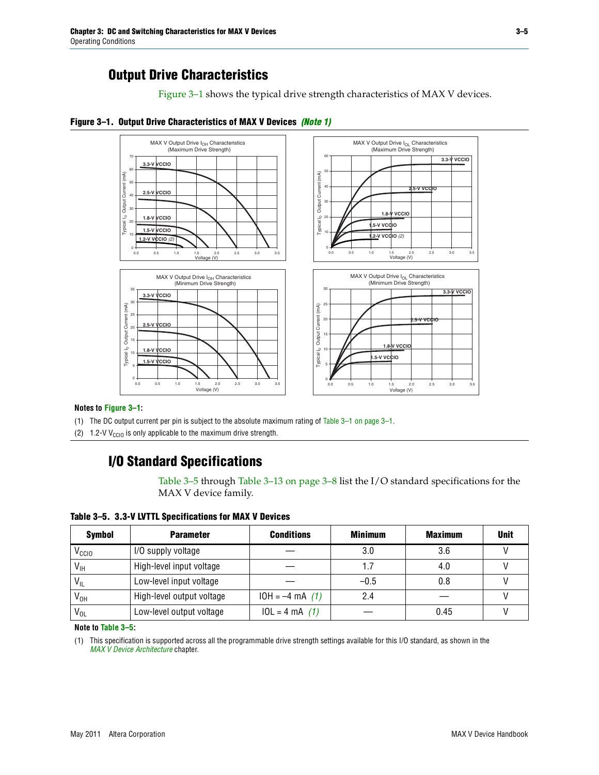### **Output Drive Characteristics**

[Figure 3–1](#page-4-2) shows the typical drive strength characteristics of MAX V devices.

<span id="page-4-2"></span>



#### **Notes to [Figure 3–1:](#page-4-2)**

<span id="page-4-3"></span>(1) The DC output current per pin is subject to the absolute maximum rating of [Table 3–1 on page 3–1.](#page-0-0)

(2) 1.2-V V<sub>CCIO</sub> is only applicable to the maximum drive strength.

### **I/O Standard Specifications**

[Table 3–5](#page-4-0) through [Table 3–13 on page 3–8](#page-7-0) list the I/O standard specifications for the MAX V device family.

<span id="page-4-0"></span>**Table 3–5. 3.3-V LVTTL Specifications for MAX V Devices**

| <b>Symbol</b>     | <b>Parameter</b>          | <b>Conditions</b> | <b>Minimum</b> | <b>Maximum</b> | <b>Unit</b> |
|-------------------|---------------------------|-------------------|----------------|----------------|-------------|
| V <sub>ccio</sub> | I/O supply voltage        |                   | 3.0            | 3.6            |             |
| $V_{IH}$          | High-level input voltage  |                   |                | 4.0            |             |
| $V_{IL}$          | Low-level input voltage   |                   | $-0.5$         | 0.8            |             |
| V <sub>он</sub>   | High-level output voltage | $10H = -4 mA$ (1) | 2.4            |                |             |
| $V_{OL}$          | Low-level output voltage  | $10L = 4 mA$ (1)  |                | 0.45           |             |

**Note to [Table 3–5:](#page-4-0)**

<span id="page-4-1"></span>(1) This specification is supported across all the programmable drive strength settings available for this I/O standard, as shown in the *[MAX V Device Architecture](http://www.altera.com/literature/hb/max-v/mv51002.pdf)* chapter.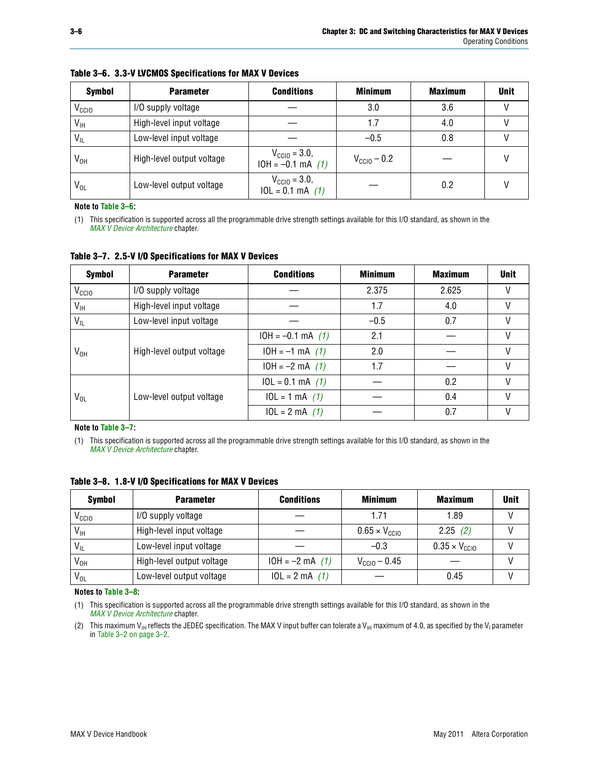| <b>Symbol</b>     | <b>Parameter</b>          | <b>Conditions</b>                                       | <b>Minimum</b>          | <b>Maximum</b> | <b>Unit</b> |
|-------------------|---------------------------|---------------------------------------------------------|-------------------------|----------------|-------------|
| V <sub>CCIO</sub> | I/O supply voltage        |                                                         | 3.0                     | 3.6            |             |
| $V_{IH}$          | High-level input voltage  |                                                         | 1.7                     | 4.0            |             |
| $V_{IL}$          | Low-level input voltage   |                                                         | $-0.5$                  | 0.8            |             |
| $V_{OH}$          | High-level output voltage | $V_{\text{CGI0}} = 3.0,$<br>$10H = -0.1 \text{ mA}$ (1) | $V_{\text{CC10}} - 0.2$ |                |             |
| $V_{OL}$          | Low-level output voltage  | $V_{\text{CGI0}} = 3.0,$<br>$10L = 0.1$ mA $(1)$        |                         | 0.2            |             |

#### <span id="page-5-4"></span>**Table 3–6. 3.3-V LVCMOS Specifications for MAX V Devices**

**Note to [Table 3–6:](#page-5-4)**

<span id="page-5-0"></span>(1) This specification is supported across all the programmable drive strength settings available for this I/O standard, as shown in the *[MAX V Device Architecture](http://www.altera.com/literature/hb/max-v/mv51002.pdf)* chapter.

<span id="page-5-5"></span>**Table 3–7. 2.5-V I/O Specifications for MAX V Devices**

| <b>Symbol</b>     | <b>Parameter</b>          | <b>Conditions</b>     | <b>Minimum</b> | <b>Maximum</b> | <b>Unit</b> |
|-------------------|---------------------------|-----------------------|----------------|----------------|-------------|
| V <sub>CCIO</sub> | I/O supply voltage        |                       | 2.375          | 2.625          |             |
| $V_{\text{IH}}$   | High-level input voltage  |                       | 1.7            | 4.0            | V           |
| $V_{IL}$          | Low-level input voltage   |                       | $-0.5$         | 0.7            |             |
|                   | High-level output voltage | $10H = -0.1$ mA $(1)$ | 2.1            |                |             |
| V <sub>он</sub>   |                           | $10H = -1$ mA $(1)$   | 2.0            |                |             |
|                   |                           | $10H = -2 mA$ (1)     | 1.7            |                | V           |
|                   | Low-level output voltage  | $10L = 0.1$ mA $(1)$  |                | 0.2            |             |
| V <sub>OL</sub>   |                           | $10L = 1 mA$ (1)      |                | 0.4            |             |
|                   |                           | $10L = 2 mA$ (1)      |                | 0.7            |             |

**Note to [Table 3–7:](#page-5-5)**

<span id="page-5-1"></span>(1) This specification is supported across all the programmable drive strength settings available for this I/O standard, as shown in the *[MAX V Device Architecture](http://www.altera.com/literature/hb/max-v/mv51002.pdf)* chapter.

| <b>Symbol</b>     | <b>Parameter</b>          | <b>Conditions</b> | <b>Minimum</b>                | <b>Maximum</b>                | <b>Unit</b> |
|-------------------|---------------------------|-------------------|-------------------------------|-------------------------------|-------------|
| V <sub>ccio</sub> | I/O supply voltage        |                   | 1.71                          | 1.89                          |             |
| $V_{\text{IH}}$   | High-level input voltage  |                   | $0.65 \times V_{\text{CGI0}}$ | 2.25(2)                       |             |
| $V_{IL}$          | Low-level input voltage   |                   | $-0.3$                        | $0.35 \times V_{\text{CC10}}$ |             |
| V <sub>он</sub>   | High-level output voltage | $10H = -2 mA$ (1) | $V_{\text{CCI0}} - 0.45$      |                               |             |
| $V_{OL}$          | Low-level output voltage  | $10L = 2 mA$ (1)  |                               | 0.45                          |             |

<span id="page-5-6"></span>**Table 3–8. 1.8-V I/O Specifications for MAX V Devices**

**Notes to [Table 3–8](#page-5-6):**

<span id="page-5-3"></span>(1) This specification is supported across all the programmable drive strength settings available for this I/O standard, as shown in the *[MAX V Device Architecture](http://www.altera.com/literature/hb/max-v/mv51002.pdf)* chapter.

<span id="page-5-2"></span>(2) This maximum V<sub>IH</sub> reflects the JEDEC specification. The MAX V input buffer can tolerate a V<sub>IH</sub> maximum of 4.0, as specified by the V<sub>I</sub> parameter in [Table 3–2 on page 3–2](#page-1-0).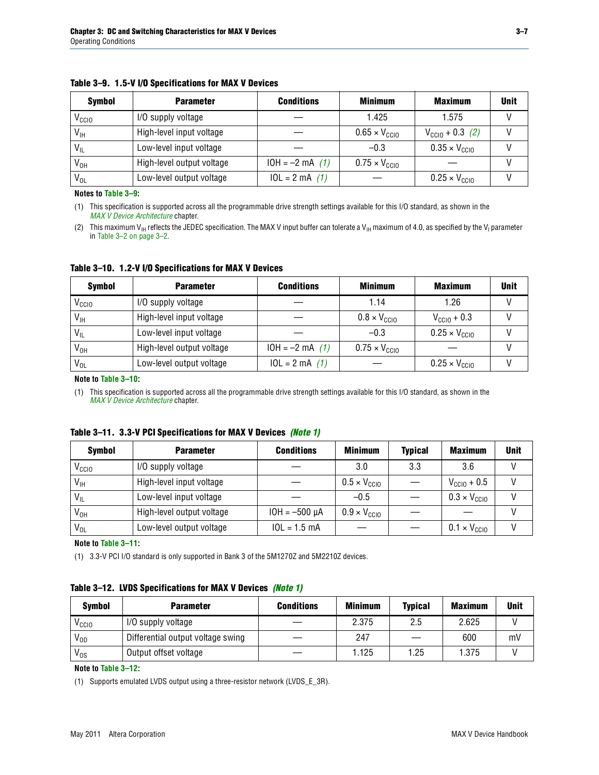| <b>Symbol</b>     | <b>Parameter</b>          | <b>Conditions</b> | <b>Minimum</b>                | <b>Maximum</b>                | <b>Unit</b> |
|-------------------|---------------------------|-------------------|-------------------------------|-------------------------------|-------------|
| V <sub>CCIO</sub> | I/O supply voltage        |                   | 1.425                         | 1.575                         |             |
| $V_{IH}$          | High-level input voltage  |                   | $0.65 \times V_{\text{CGI}}$  | $V_{\text{CGI0}} + 0.3$ (2)   |             |
| $V_{IL}$          | Low-level input voltage   |                   | $-0.3$                        | $0.35 \times V_{\text{CC10}}$ |             |
| V <sub>он</sub>   | High-level output voltage | $10H = -2 mA$ (1) | $0.75 \times V_{\text{CGI}0}$ |                               |             |
| $V_{OL}$          | Low-level output voltage  | $10L = 2 mA$ (1)  |                               | $0.25 \times V_{\text{CCIO}}$ |             |

<span id="page-6-8"></span>**Table 3–9. 1.5-V I/O Specifications for MAX V Devices**

**Notes to [Table 3–9](#page-6-8):**

<span id="page-6-3"></span>(1) This specification is supported across all the programmable drive strength settings available for this I/O standard, as shown in the *[MAX V Device Architecture](http://www.altera.com/literature/hb/max-v/mv51002.pdf)* chapter.

<span id="page-6-2"></span>(2) This maximum V<sub>IH</sub> reflects the JEDEC specification. The MAX V input buffer can tolerate a V<sub>IH</sub> maximum of 4.0, as specified by the V<sub>I</sub> parameter in [Table 3–2 on page 3–2](#page-1-0).

<span id="page-6-4"></span>**Table 3–10. 1.2-V I/O Specifications for MAX V Devices**

| <b>Symbol</b>     | <b>Parameter</b>          | <b>Conditions</b> | <b>Minimum</b>                | <b>Maximum</b>                | <b>Unit</b> |
|-------------------|---------------------------|-------------------|-------------------------------|-------------------------------|-------------|
| V <sub>ccio</sub> | I/O supply voltage        |                   | 1.14                          | 1.26                          |             |
| $V_{\text{IH}}$   | High-level input voltage  |                   | $0.8 \times V_{\text{CCIO}}$  | $V_{\text{CC10}} + 0.3$       |             |
| $V_{IL}$          | Low-level input voltage   |                   | $-0.3$                        | $0.25 \times V_{\text{CGIO}}$ |             |
| V <sub>он</sub>   | High-level output voltage | $10H = -2 mA$ (1) | $0.75 \times V_{\text{CGI}0}$ |                               |             |
| $V_{OL}$          | Low-level output voltage  | $10L = 2 mA$ (1)  |                               | $0.25 \times V_{\text{CCIO}}$ |             |

#### **Note to [Table 3–10:](#page-6-4)**

<span id="page-6-7"></span>(1) This specification is supported across all the programmable drive strength settings available for this I/O standard, as shown in the *[MAX V Device Architecture](http://www.altera.com/literature/hb/max-v/mv51002.pdf)* chapter.

<span id="page-6-5"></span>

|  |  | Table 3–11. 3.3-V PCI Specifications for MAX V Devices (Note 1) |  |  |  |
|--|--|-----------------------------------------------------------------|--|--|--|
|--|--|-----------------------------------------------------------------|--|--|--|

| <b>Symbol</b>     | <b>Parameter</b>          | <b>Conditions</b>  | <b>Minimum</b>               | <b>Typical</b> | <b>Maximum</b>               | <b>Unit</b> |
|-------------------|---------------------------|--------------------|------------------------------|----------------|------------------------------|-------------|
| V <sub>CCIO</sub> | I/O supply voltage        |                    | 3.0                          | 3.3            | 3.6                          |             |
| $V_{\text{IH}}$   | High-level input voltage  |                    | $0.5 \times V_{\text{CC10}}$ |                | $V_{\text{CC10}} + 0.5$      |             |
| $V_{IL}$          | Low-level input voltage   |                    | $-0.5$                       |                | $0.3 \times V_{\text{CC10}}$ |             |
| $V_{OH}$          | High-level output voltage | $10H = -500 \mu A$ | $0.9 \times V_{\text{CCIO}}$ |                |                              |             |
| $V_{OL}$          | Low-level output voltage  | $10L = 1.5 mA$     |                              |                | $0.1 \times V_{\text{CC10}}$ |             |

**Note to [Table 3–11:](#page-6-5)**

<span id="page-6-6"></span>(1) 3.3-V PCI I/O standard is only supported in Bank 3 of the 5M1270Z and 5M2210Z devices.

#### <span id="page-6-0"></span>**Table 3–12. LVDS Specifications for MAX V Devices** *[\(Note 1\)](#page-6-1)*

| <b>Symbol</b>   | <b>Parameter</b>                  | <b>Conditions</b> | <b>Minimum</b> | <b>Typical</b> | <b>Maximum</b> | <b>Unit</b> |
|-----------------|-----------------------------------|-------------------|----------------|----------------|----------------|-------------|
| ⊻ссю            | I/O supply voltage                |                   | 2.375          | 2.5            | 2.625          |             |
| $V_{OD}$        | Differential output voltage swing |                   | 247            |                | 600            | mV          |
| V <sub>os</sub> | Output offset voltage             |                   | 1.125          | 1.25           | 1.375          |             |

**Note to [Table 3–12:](#page-6-0)**

<span id="page-6-1"></span>(1) Supports emulated LVDS output using a three-resistor network (LVDS\_E\_3R).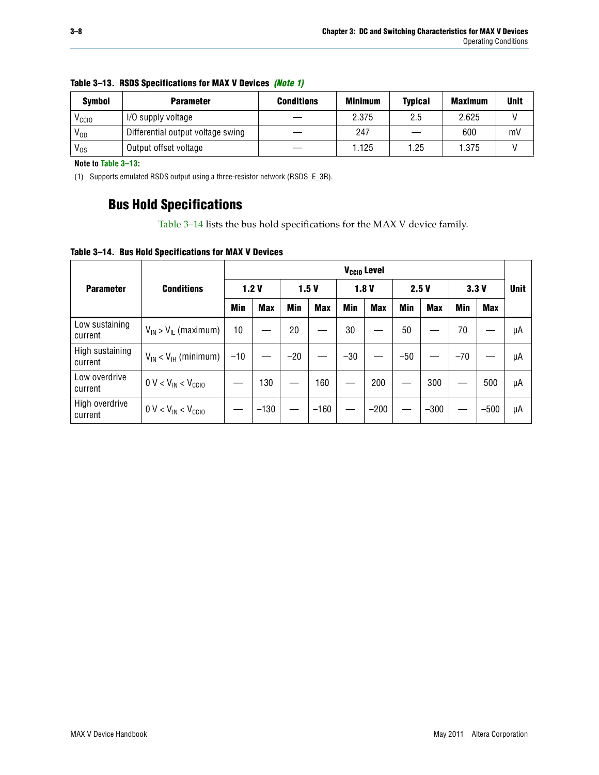| <b>Symbol</b>     | <b>Parameter</b>                  | <b>Conditions</b> | <b>Minimum</b> | <b>Typical</b> | <b>Maximum</b> | <b>Unit</b> |
|-------------------|-----------------------------------|-------------------|----------------|----------------|----------------|-------------|
| V <sub>CCIO</sub> | I/O supply voltage                |                   | 2.375          | 2.5            | 2.625          |             |
| V <sub>OD</sub>   | Differential output voltage swing |                   | 247            |                | 600            | mV          |
| $V_{OS}$          | Output offset voltage             |                   | .125           | 1.25           | 1.375          |             |

#### <span id="page-7-0"></span>**Table 3–13. RSDS Specifications for MAX V Devices** *[\(Note 1\)](#page-7-2)*

**Note to [Table 3–13:](#page-7-0)**

<span id="page-7-2"></span>(1) Supports emulated RSDS output using a three-resistor network (RSDS\_E\_3R).

### **Bus Hold Specifications**

[Table 3–14](#page-7-1) lists the bus hold specifications for the MAX V device family.

<span id="page-7-1"></span>**Table 3–14. Bus Hold Specifications for MAX V Devices**

|                            | V <sub>ccio</sub> Level       |       |            |                          |            |            |            |       |            |       |            |             |
|----------------------------|-------------------------------|-------|------------|--------------------------|------------|------------|------------|-------|------------|-------|------------|-------------|
| <b>Parameter</b>           | <b>Conditions</b>             |       | 1.2V       |                          | 1.5V       |            | 1.8V       | 2.5V  |            | 3.3V  |            | <b>Unit</b> |
|                            |                               | Min   | <b>Max</b> | <b>Min</b>               | <b>Max</b> | <b>Min</b> | <b>Max</b> | Min   | <b>Max</b> | Min   | <b>Max</b> |             |
| Low sustaining<br>current  | $V_{IN}$ > $V_{IL}$ (maximum) | 10    |            | 20                       |            | 30         |            | 50    |            | 70    |            | μA          |
| High sustaining<br>current | $V_{IN}$ < $V_{IH}$ (minimum) | $-10$ |            | $-20$                    |            | $-30$      |            | $-50$ |            | $-70$ |            | μA          |
| Low overdrive<br>current   | $0 V < V_{IN} < V_{CC10}$     |       | 130        | $\overline{\phantom{0}}$ | 160        |            | 200        |       | 300        |       | 500        | μA          |
| High overdrive<br>current  | $0 V < V_{IN} < V_{CC10}$     |       | $-130$     |                          | $-160$     |            | $-200$     |       | $-300$     |       | $-500$     | μA          |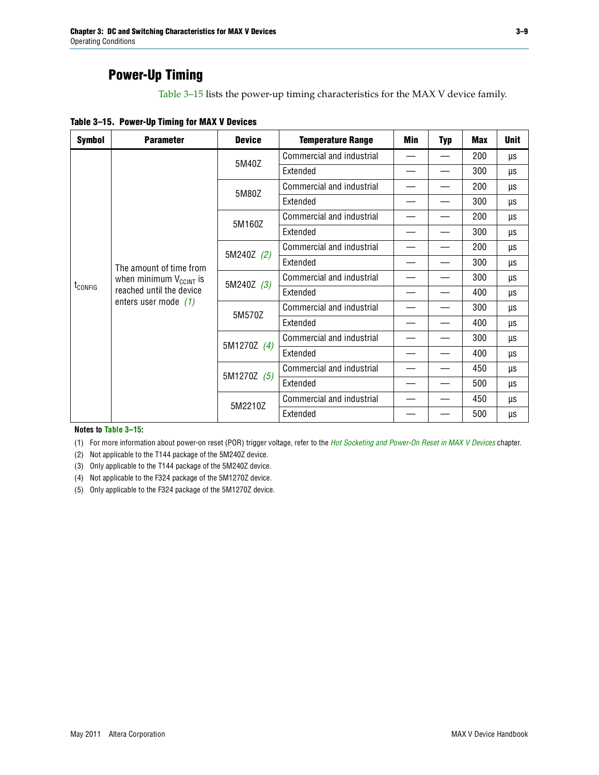### **Power-Up Timing**

[Table 3–15](#page-8-0) lists the power-up timing characteristics for the MAX V device family.

<span id="page-8-0"></span>**Table 3–15. Power-Up Timing for MAX V Devices**

| <b>Symbol</b>           | <b>Parameter</b>              | <b>Device</b>          | <b>Temperature Range</b>         | Min | <b>Typ</b> | <b>Max</b> | <b>Unit</b> |
|-------------------------|-------------------------------|------------------------|----------------------------------|-----|------------|------------|-------------|
|                         |                               | 5M40Z                  | Commercial and industrial        |     |            | 200        | μs          |
|                         |                               |                        | Extended                         |     |            | 300        | μs          |
|                         |                               | 5M80Z                  | Commercial and industrial        |     |            | 200        | μs          |
|                         |                               |                        | Extended                         |     |            | 300        | μs          |
|                         |                               | 5M160Z                 | Commercial and industrial        |     |            | 200        | μs          |
|                         |                               |                        | Extended                         |     |            | 300        | μs          |
|                         |                               | 5M240Z (2)             | Commercial and industrial        |     |            | 200        | μs          |
| The amount of time from |                               | Extended               |                                  |     | 300        | μs         |             |
|                         | when minimum $V_{C C INT}$ is | 5M240Z (3)<br>Extended | <b>Commercial and industrial</b> |     |            | 300        | μs          |
| t <sub>config</sub>     | reached until the device      |                        |                                  |     |            | 400        | μs          |
|                         | enters user mode $(1)$        | 5M570Z                 | Commercial and industrial        |     |            | 300        | μs          |
|                         |                               |                        | Extended                         |     |            | 400        | <b>US</b>   |
|                         |                               | 5M1270Z (4)            | Commercial and industrial        |     |            | 300        | μs          |
|                         |                               |                        | Extended                         |     |            | 400        | μs          |
|                         |                               |                        | Commercial and industrial        |     |            | 450        | μs          |
|                         |                               | 5M1270Z (5)            | Extended                         |     |            | 500        | μs          |
|                         |                               | 5M2210Z                | Commercial and industrial        |     |            | 450        | μs          |
|                         |                               |                        | Extended                         |     |            | 500        | μs          |

**Notes to [Table 3–15](#page-8-0):**

<span id="page-8-1"></span>(1) For more information about power-on reset (POR) trigger voltage, refer to the *[Hot Socketing and Power-On Reset in MAX V Devices](http://www.altera.com/literature/hb/max-v/mv51004.pdf)* chapter.

<span id="page-8-2"></span>(2) Not applicable to the T144 package of the 5M240Z device.

<span id="page-8-3"></span>(3) Only applicable to the T144 package of the 5M240Z device.

<span id="page-8-4"></span>(4) Not applicable to the F324 package of the 5M1270Z device.

<span id="page-8-5"></span>(5) Only applicable to the F324 package of the 5M1270Z device.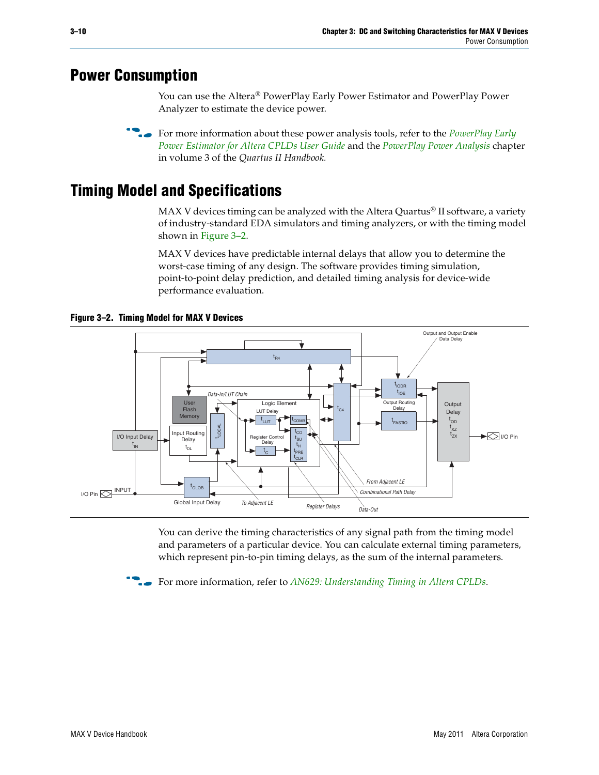## <span id="page-9-0"></span>**Power Consumption**

You can use the Altera® PowerPlay Early Power Estimator and PowerPlay Power Analyzer to estimate the device power.

**For more information about these power analysis tools, refer to the** *PowerPlay Early**[Power Estimator for Altera CPLDs User Guide](http://www.altera.com/literature/ug/ug_epe_cpld.pdf)* and the *[PowerPlay Power Analysis](http://www.altera.com/literature/hb/qts/qts_qii53013.pdf)* chapter in volume 3 of the *Quartus II Handbook.*

# <span id="page-9-1"></span>**Timing Model and Specifications**

MAX V devices timing can be analyzed with the Altera Quartus<sup>®</sup> II software, a variety of industry-standard EDA simulators and timing analyzers, or with the timing model shown in [Figure 3–2.](#page-9-2)

MAX V devices have predictable internal delays that allow you to determine the worst-case timing of any design. The software provides timing simulation, point-to-point delay prediction, and detailed timing analysis for device-wide performance evaluation.



<span id="page-9-2"></span>**Figure 3–2. Timing Model for MAX V Devices**

You can derive the timing characteristics of any signal path from the timing model and parameters of a particular device. You can calculate external timing parameters, which represent pin-to-pin timing delays, as the sum of the internal parameters.

**For more information, refer to** *[AN629: Understanding Timing in Altera CPLDs](http://www.altera.com/literature/an/an629.pdf)***.**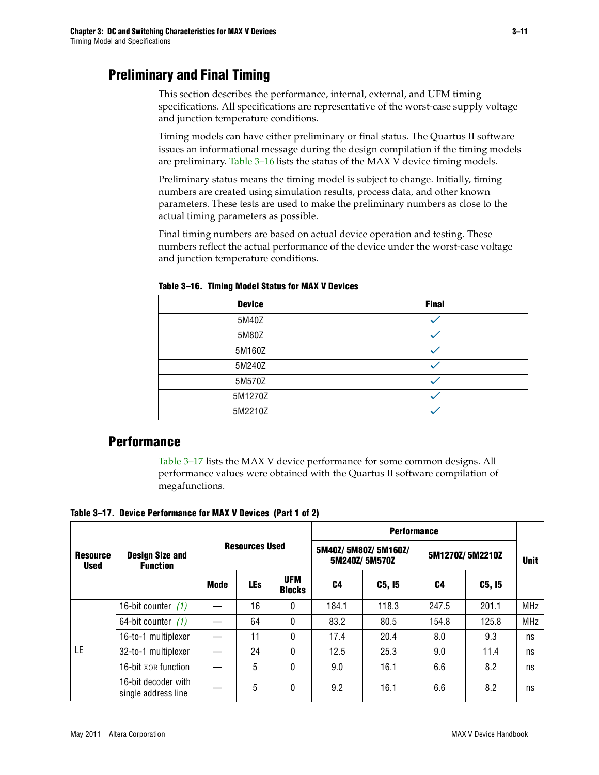## **Preliminary and Final Timing**

This section describes the performance, internal, external, and UFM timing specifications. All specifications are representative of the worst-case supply voltage and junction temperature conditions.

Timing models can have either preliminary or final status. The Quartus II software issues an informational message during the design compilation if the timing models are preliminary. [Table 3–16](#page-10-0) lists the status of the MAX V device timing models.

Preliminary status means the timing model is subject to change. Initially, timing numbers are created using simulation results, process data, and other known parameters. These tests are used to make the preliminary numbers as close to the actual timing parameters as possible.

Final timing numbers are based on actual device operation and testing. These numbers reflect the actual performance of the device under the worst-case voltage and junction temperature conditions.

| <b>Device</b> | <b>Final</b> |
|---------------|--------------|
| 5M40Z         |              |
| 5M80Z         |              |
| 5M160Z        |              |
| 5M240Z        |              |
| 5M570Z        |              |
| 5M1270Z       |              |
| 5M2210Z       |              |

<span id="page-10-0"></span>**Table 3–16. Timing Model Status for MAX V Devices**

### **Performance**

[Table 3–17](#page-10-1) lists the MAX V device performance for some common designs. All performance values were obtained with the Quartus II software compilation of megafunctions.

<span id="page-10-1"></span>**Table 3–17. Device Performance for MAX V Devices (Part 1 of 2)**

|                                |                                            |      |                       |                             | <b>Performance</b>                                      |        |       |        |             |  |
|--------------------------------|--------------------------------------------|------|-----------------------|-----------------------------|---------------------------------------------------------|--------|-------|--------|-------------|--|
| <b>Resource</b><br><b>Used</b> | <b>Design Size and</b><br><b>Function</b>  |      | <b>Resources Used</b> |                             | 5M40Z/5M80Z/5M160Z/<br>5M1270Z/5M2210Z<br>5M240Z/5M570Z |        |       |        | <b>Unit</b> |  |
|                                |                                            | Mode | <b>LEs</b>            | <b>UFM</b><br><b>Blocks</b> | C4                                                      | C5, I5 | C4    | C5, I5 |             |  |
|                                | 16-bit counter $(1)$                       |      | 16                    | 0                           | 184.1                                                   | 118.3  | 247.5 | 201.1  | <b>MHz</b>  |  |
|                                | 64-bit counter $(1)$                       |      | 64                    | 0                           | 83.2                                                    | 80.5   | 154.8 | 125.8  | <b>MHz</b>  |  |
|                                | 16-to-1 multiplexer                        |      | 11                    | 0                           | 17.4                                                    | 20.4   | 8.0   | 9.3    | ns          |  |
| LE                             | 32-to-1 multiplexer                        |      | 24                    | 0                           | 12.5                                                    | 25.3   | 9.0   | 11.4   | ns          |  |
|                                | 16-bit XOR function                        |      | 5                     | 0                           | 9.0                                                     | 16.1   | 6.6   | 8.2    | ns          |  |
|                                | 16-bit decoder with<br>single address line |      | 5                     | 0                           | 9.2                                                     | 16.1   | 6.6   | 8.2    | ns          |  |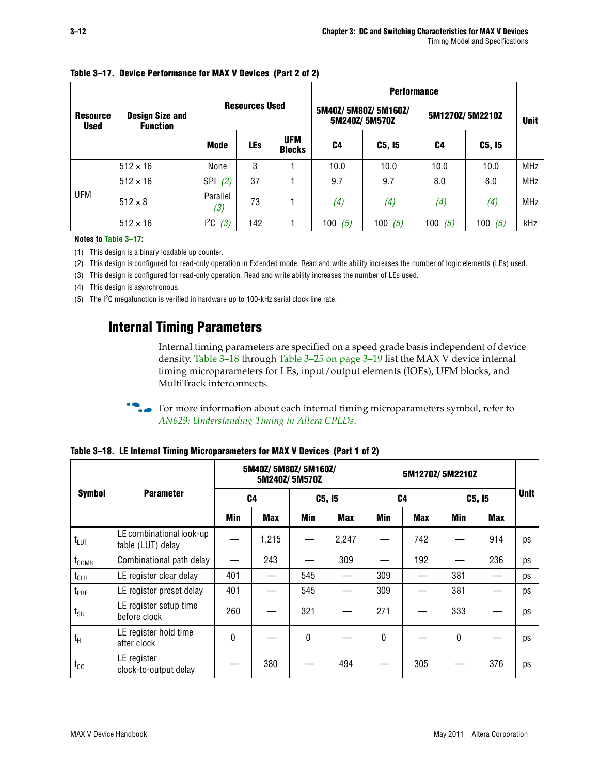|                                |                                           |                   |                       |                             | <b>Performance</b> |                                      |           |                 |             |  |
|--------------------------------|-------------------------------------------|-------------------|-----------------------|-----------------------------|--------------------|--------------------------------------|-----------|-----------------|-------------|--|
| <b>Resource</b><br><b>Used</b> | <b>Design Size and</b><br><b>Function</b> |                   | <b>Resources Used</b> |                             |                    | 5M40Z/5M80Z/5M160Z/<br>5M240Z/5M570Z |           | 5M1270Z/5M2210Z | <b>Unit</b> |  |
|                                |                                           | Mode              | <b>LEs</b>            | <b>UFM</b><br><b>Blocks</b> | C4                 | C5, I5                               | C4        | C5, I5          |             |  |
|                                | $512 \times 16$                           | None              | 3                     |                             | 10.0               | 10.0                                 | 10.0      | 10.0            | <b>MHz</b>  |  |
|                                | $512 \times 16$                           | <b>SPI</b><br>(2) | 37                    |                             | 9.7                | 9.7                                  | 8.0       | 8.0             | <b>MHz</b>  |  |
| <b>UFM</b>                     | $512 \times 8$                            | Parallel<br>(3)   | 73                    |                             | (4)                | (4)                                  | (4)       | (4)             | MHz         |  |
|                                | $512 \times 16$                           | 12C<br>(3)        | 142                   |                             | 100 $(5)$          | 100 $(5)$                            | 100 $(5)$ | 100 $(5)$       | kHz         |  |

#### **Table 3–17. Device Performance for MAX V Devices (Part 2 of 2)**

**Notes to [Table 3–17](#page-10-1):**

<span id="page-11-0"></span>(1) This design is a binary loadable up counter.

<span id="page-11-1"></span>(2) This design is configured for read-only operation in Extended mode. Read and write ability increases the number of logic elements (LEs) used.

<span id="page-11-2"></span>(3) This design is configured for read-only operation. Read and write ability increases the number of LEs used.

<span id="page-11-5"></span>(4) This design is asynchronous.

<span id="page-11-4"></span>(5) The I2C megafunction is verified in hardware up to 100-kHz serial clock line rate.

### **Internal Timing Parameters**

Internal timing parameters are specified on a speed grade basis independent of device density. [Table 3–18](#page-11-3) through [Table 3–25 on page 3–19](#page-18-0) list the MAX V device internal timing microparameters for LEs, input/output elements (IOEs), UFM blocks, and MultiTrack interconnects.

For more information about each internal timing microparameters symbol, refer to *[AN629: Understanding Timing in Altera CPLDs](http://www.altera.com/literature/an/an629.pdf)*.

|                   |                                               |            | 5M40Z/ 5M80Z/ 5M160Z/ | 5M240Z/5M570Z |            |            | 5M1270Z/5M2210Z |     |            |             |
|-------------------|-----------------------------------------------|------------|-----------------------|---------------|------------|------------|-----------------|-----|------------|-------------|
| <b>Symbol</b>     | <b>Parameter</b>                              | C4         |                       |               | C5, I5     |            | C <sub>4</sub>  |     | C5, I5     | <b>Unit</b> |
|                   |                                               | <b>Min</b> | <b>Max</b>            | Min           | <b>Max</b> | <b>Min</b> | <b>Max</b>      | Min | <b>Max</b> |             |
| $t_{LUT}$         | LE combinational look-up<br>table (LUT) delay |            | 1,215                 |               | 2,247      |            | 742             |     | 914        | ps          |
| t <sub>comb</sub> | Combinational path delay                      |            | 243                   |               | 309        |            | 192             |     | 236        | ps          |
| $t_{CLR}$         | LE register clear delay                       | 401        |                       | 545           |            | 309        |                 | 381 |            | ps          |
| t <sub>PRE</sub>  | LE register preset delay                      | 401        |                       | 545           |            | 309        |                 | 381 |            | ps          |
| $t_{\text{SU}}$   | LE register setup time<br>before clock        | 260        |                       | 321           |            | 271        |                 | 333 |            | ps          |
| $t_{H}$           | LE register hold time<br>after clock          | $\Omega$   |                       | $\mathbf{0}$  |            | 0          |                 | 0   |            | ps          |
| $t_{\rm CO}$      | LE register<br>clock-to-output delay          |            | 380                   |               | 494        |            | 305             |     | 376        | ps          |

<span id="page-11-3"></span>**Table 3–18. LE Internal Timing Microparameters for MAX V Devices (Part 1 of 2)**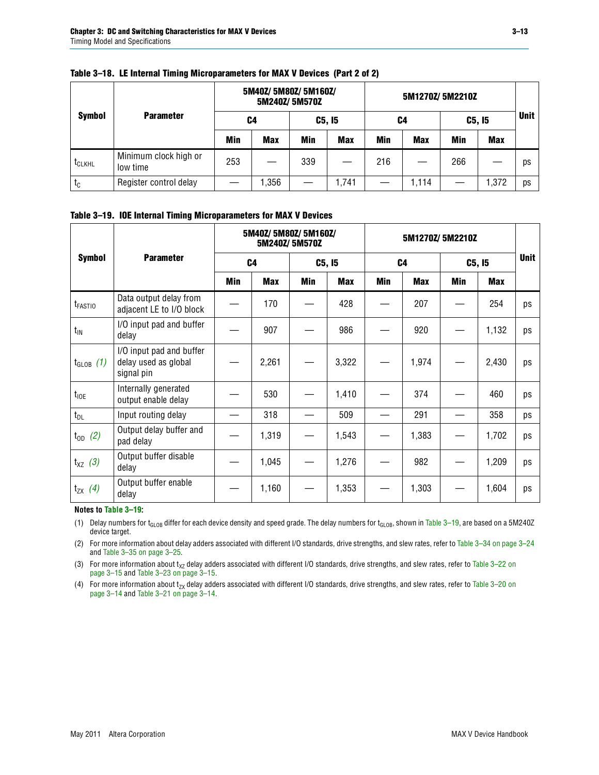|                    |                                   |              | 5M40Z/ 5M80Z/ 5M160Z/<br>5M240Z/5M570Z |     |            |     | 5M1270Z/ 5M2210Z |     |             |    |
|--------------------|-----------------------------------|--------------|----------------------------------------|-----|------------|-----|------------------|-----|-------------|----|
| <b>Symbol</b>      | <b>Parameter</b>                  | C5, I5<br>C4 |                                        |     | C4         |     | C5, I5           |     | <b>Unit</b> |    |
|                    |                                   | Min          | <b>Max</b>                             | Min | <b>Max</b> | Min | <b>Max</b>       | Min | <b>Max</b>  |    |
| t <sub>CLKHL</sub> | Minimum clock high or<br>low time | 253          |                                        | 339 |            | 216 |                  | 266 |             | ps |
| $t_c$              | Register control delay            |              | .356                                   |     | 1,741      |     | 1,114            |     | 1,372       | ps |

#### **Table 3–18. LE Internal Timing Microparameters for MAX V Devices (Part 2 of 2)**

#### <span id="page-12-1"></span>**Table 3–19. IOE Internal Timing Microparameters for MAX V Devices**

|                     |                                                                |     | 5M40Z/ 5M80Z/ 5M160Z/    | 5M240Z/5M570Z |       |     | 5M1270Z/5M2210Z |            |        |             |
|---------------------|----------------------------------------------------------------|-----|--------------------------|---------------|-------|-----|-----------------|------------|--------|-------------|
| <b>Symbol</b>       | <b>Parameter</b>                                               |     | C <sub>4</sub><br>C5, I5 |               |       |     | C <sub>4</sub>  |            | C5, I5 | <b>Unit</b> |
|                     |                                                                | Min | Max                      | Min           | Max   | Min | <b>Max</b>      | <b>Min</b> | Max    |             |
| t <sub>FASTIO</sub> | Data output delay from<br>adjacent LE to I/O block             |     | 170                      |               | 428   |     | 207             |            | 254    | ps          |
| $t_{IN}$            | I/O input pad and buffer<br>delay                              |     | 907                      |               | 986   |     | 920             |            | 1,132  | ps          |
| $t_{GLOB}$ (1)      | I/O input pad and buffer<br>delay used as global<br>signal pin |     | 2,261                    |               | 3,322 |     | 1,974           |            | 2,430  | ps          |
| $t_{10E}$           | Internally generated<br>output enable delay                    |     | 530                      |               | 1,410 |     | 374             |            | 460    | ps          |
| $t_{DL}$            | Input routing delay                                            |     | 318                      |               | 509   |     | 291             |            | 358    | ps          |
| $t_{OD}$ (2)        | Output delay buffer and<br>pad delay                           |     | 1,319                    |               | 1,543 |     | 1,383           |            | 1,702  | ps          |
| $t_{XZ}$ (3)        | Output buffer disable<br>delay                                 |     | 1,045                    |               | 1,276 |     | 982             |            | 1,209  | ps          |
| $t_{ZX}$ (4)        | Output buffer enable<br>delay                                  |     | 1,160                    |               | 1,353 |     | 1,303           |            | 1,604  | ps          |

#### **Notes to [Table 3–19](#page-12-1):**

<span id="page-12-2"></span>(1) Delay numbers for t<sub>GLOB</sub> differ for each device density and speed grade. The delay numbers for t<sub>GLOB</sub>, shown in Table 3-19, are based on a 5M240Z device target.

<span id="page-12-3"></span>(2) For more information about delay adders associated with different I/O standards, drive strengths, and slew rates, refer to [Table 3–34 on page 3–24](#page-23-0) and [Table 3–35 on page 3–25.](#page-24-0)

<span id="page-12-4"></span>(3) For more information about  $t_{XZ}$  delay adders associated with different I/O standards, drive strengths, and slew rates, refer to Table 3-22 on [page 3–15](#page-14-1) and [Table 3–23 on page 3–15](#page-14-0).

<span id="page-12-0"></span>(4) For more information about t<sub>zx</sub> delay adders associated with different I/O standards, drive strengths, and slew rates, refer to Table 3–20 on<br>[page 3–14](#page-13-0) and [Table 3–21 on page 3–14](#page-13-1).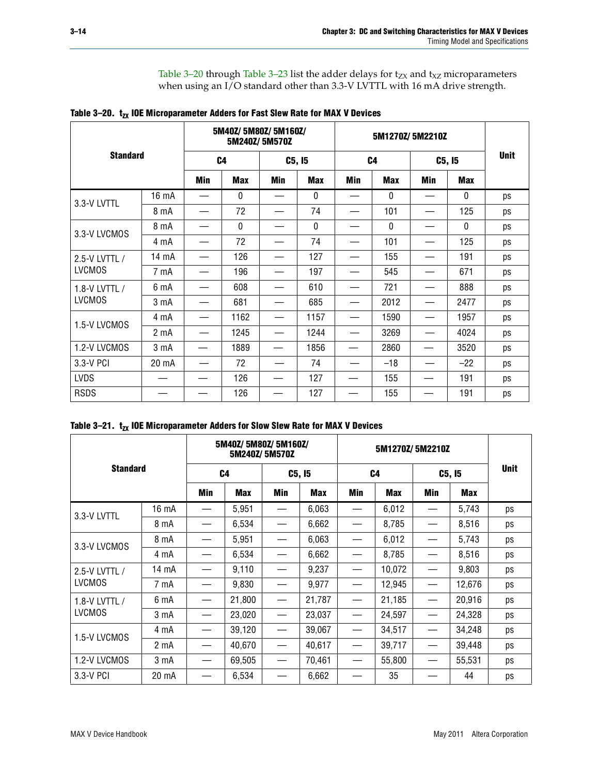[Table 3–20](#page-13-0) through [Table 3–23](#page-14-0) list the adder delays for  $t_{ZX}$  and  $t_{XZ}$  microparameters when using an I/O standard other than 3.3-V LVTTL with 16 mA drive strength.

<span id="page-13-0"></span>

| Table 3-20. $t_{zx}$ IOE Microparameter Adders for Fast Slew Rate for MAX V Devices |  |  |  |  |  |  |
|-------------------------------------------------------------------------------------|--|--|--|--|--|--|
|-------------------------------------------------------------------------------------|--|--|--|--|--|--|

|                 |                  |                | 5M40Z/ 5M80Z/ 5M160Z/<br>5M240Z/5M570Z |        |            |                | 5M1270Z/5M2210Z |        |              |             |  |  |  |  |  |  |  |
|-----------------|------------------|----------------|----------------------------------------|--------|------------|----------------|-----------------|--------|--------------|-------------|--|--|--|--|--|--|--|
| <b>Standard</b> |                  | C <sub>4</sub> |                                        | C5, I5 |            | C <sub>4</sub> |                 | C5, I5 |              | <b>Unit</b> |  |  |  |  |  |  |  |
|                 |                  | Min            | <b>Max</b>                             | Min    | <b>Max</b> | Min            | <b>Max</b>      | Min    | <b>Max</b>   |             |  |  |  |  |  |  |  |
| 3.3-V LVTTL     | 16 mA            |                | 0                                      |        | 0          |                | $\mathbf{0}$    |        | 0            | ps          |  |  |  |  |  |  |  |
|                 | 8 mA             |                | 72                                     |        | 74         |                | 101             |        | 125          | ps          |  |  |  |  |  |  |  |
|                 | 8 mA             |                | 0                                      |        | 0          |                | $\mathbf{0}$    |        | $\mathbf{0}$ | ps          |  |  |  |  |  |  |  |
| 3.3-V LVCMOS    | 4 mA             |                | 72                                     |        | 74         |                | 101             |        | 125          | ps          |  |  |  |  |  |  |  |
| 2.5-V LVTTL /   | 14 mA            |                | 126                                    |        | 127        |                | 155             |        | 191          | ps          |  |  |  |  |  |  |  |
| <b>LVCMOS</b>   | 7 mA             |                | 196                                    |        | 197        |                | 545             |        | 671          | ps          |  |  |  |  |  |  |  |
| 1.8-V LVTTL /   | 6 mA             |                | 608                                    |        | 610        |                | 721             |        | 888          | ps          |  |  |  |  |  |  |  |
| <b>LVCMOS</b>   | 3 <sub>m</sub> A |                | 681                                    |        | 685        |                | 2012            |        | 2477         | ps          |  |  |  |  |  |  |  |
| 1.5-V LVCMOS    | 4 mA             |                | 1162                                   |        | 1157       |                | 1590            |        | 1957         | ps          |  |  |  |  |  |  |  |
|                 | 2 <sub>m</sub> A |                | 1245                                   |        | 1244       |                | 3269            |        | 4024         | ps          |  |  |  |  |  |  |  |
| 1.2-V LVCMOS    | 3 <sub>m</sub> A |                | 1889                                   |        | 1856       |                | 2860            |        | 3520         | ps          |  |  |  |  |  |  |  |
| 3.3-V PCI       | 20 mA            |                | 72                                     |        | 74         |                | $-18$           |        | $-22$        | ps          |  |  |  |  |  |  |  |
| <b>LVDS</b>     |                  |                | 126                                    |        | 127        |                | 155             |        | 191          | ps          |  |  |  |  |  |  |  |
| <b>RSDS</b>     |                  |                | 126                                    |        | 127        |                | 155             |        | 191          | ps          |  |  |  |  |  |  |  |

<span id="page-13-1"></span>

|                 |       |                | 5M40Z/5M80Z/5M160Z/ | 5M240Z/5M570Z                 |            |                                  |            |        |        |             |
|-----------------|-------|----------------|---------------------|-------------------------------|------------|----------------------------------|------------|--------|--------|-------------|
| <b>Standard</b> |       | C <sub>4</sub> |                     | C5, I5                        |            | C <sub>4</sub>                   |            | C5, I5 |        | <b>Unit</b> |
|                 |       | Min            | <b>Max</b>          | Min                           | <b>Max</b> | Min                              | <b>Max</b> | Min    | Max    |             |
| 3.3-V LVTTL     | 16 mA |                | 5,951               |                               | 6,063      |                                  | 6,012      |        | 5,743  | ps          |
|                 | 8 mA  |                | 6,534               |                               | 6,662      | $\overbrace{\phantom{12322111}}$ | 8,785      |        | 8,516  | ps          |
| 3.3-V LVCMOS    | 8 mA  |                | 5,951               |                               | 6,063      |                                  | 6,012      |        | 5,743  | ps          |
|                 | 4 mA  |                | 6,534               |                               | 6,662      |                                  | 8,785      |        | 8,516  | ps          |
| 2.5-V LVTTL /   | 14 mA |                | 9,110               |                               | 9,237      |                                  | 10,072     |        | 9,803  | ps          |
| <b>LVCMOS</b>   | 7 mA  |                | 9,830               |                               | 9,977      |                                  | 12,945     |        | 12,676 | ps          |
| 1.8-V LVTTL /   | 6 mA  |                | 21,800              | —                             | 21,787     |                                  | 21,185     |        | 20,916 | ps          |
| <b>LVCMOS</b>   | 3 mA  |                | 23,020              |                               | 23,037     |                                  | 24,597     |        | 24,328 | ps          |
|                 | 4 mA  |                | 39,120              | $\overbrace{\phantom{13333}}$ | 39,067     |                                  | 34,517     |        | 34,248 | ps          |
| 1.5-V LVCMOS    | 2 mA  |                | 40,670              |                               | 40,617     |                                  | 39,717     |        | 39,448 | ps          |
| 1.2-V LVCMOS    | 3 mA  |                | 69,505              | —                             | 70,461     |                                  | 55,800     |        | 55,531 | ps          |
| 3.3-V PCI       | 20 mA |                | 6,534               |                               | 6,662      |                                  | 35         |        | 44     | ps          |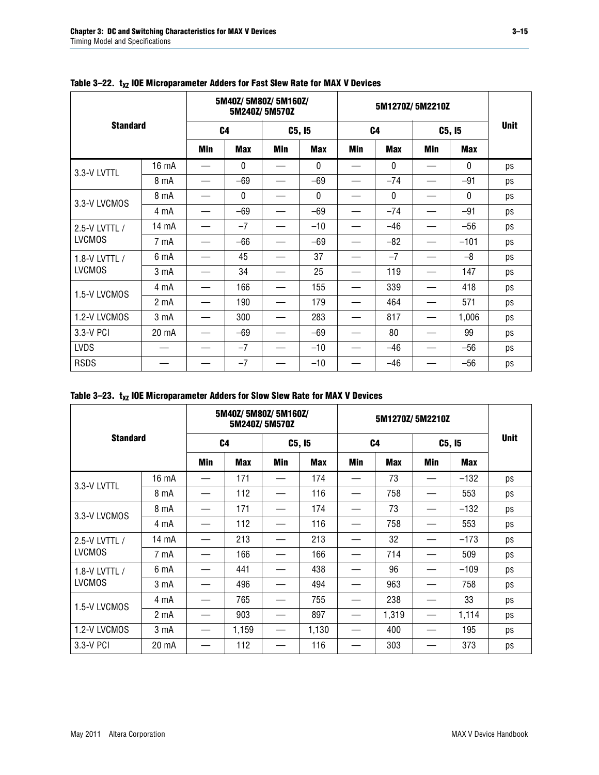|                 |                  |                | 5M40Z/5M80Z/5M160Z/ | 5M240Z/5M570Z |              |                | 5M1270Z/5M2210Z |            |              |             |
|-----------------|------------------|----------------|---------------------|---------------|--------------|----------------|-----------------|------------|--------------|-------------|
| <b>Standard</b> |                  | C <sub>4</sub> |                     | C5, I5        |              | C <sub>4</sub> |                 | C5, I5     |              | <b>Unit</b> |
|                 |                  | <b>Min</b>     | <b>Max</b>          | Min           | <b>Max</b>   | <b>Min</b>     | <b>Max</b>      | <b>Min</b> | <b>Max</b>   |             |
| 3.3-V LVTTL     | 16 mA            |                | 0                   |               | $\mathbf{0}$ |                | $\mathbf{0}$    |            | $\mathbf{0}$ | ps          |
|                 | 8 mA             |                | $-69$               |               | $-69$        |                | $-74$           |            | $-91$        | ps          |
| 3.3-V LVCMOS    | 8 mA             |                | 0                   |               | $\mathbf 0$  |                | $\mathbf 0$     |            | $\mathbf 0$  | ps          |
|                 | 4 mA             |                | $-69$               |               | $-69$        |                | $-74$           |            | $-91$        | ps          |
| 2.5-V LVTTL /   | 14 mA            |                | $-7$                |               | $-10$        |                | $-46$           |            | $-56$        | ps          |
| <b>LVCMOS</b>   | 7 mA             |                | $-66$               |               | $-69$        |                | $-82$           |            | $-101$       | ps          |
| 1.8-V LVTTL /   | 6 mA             |                | 45                  |               | 37           |                | $-7$            |            | $-8$         | ps          |
| <b>LVCMOS</b>   | 3 <sub>m</sub> A |                | 34                  |               | 25           |                | 119             |            | 147          | ps          |
| 1.5-V LVCMOS    | 4 mA             |                | 166                 |               | 155          |                | 339             |            | 418          | ps          |
|                 | 2 mA             |                | 190                 |               | 179          |                | 464             |            | 571          | ps          |
| 1.2-V LVCMOS    | 3 mA             |                | 300                 |               | 283          |                | 817             |            | 1,006        | ps          |
| 3.3-V PCI       | 20 mA            |                | $-69$               |               | $-69$        |                | 80              |            | 99           | ps          |
| <b>LVDS</b>     |                  |                | $-7$                |               | $-10$        |                | $-46$           |            | $-56$        | ps          |
| <b>RSDS</b>     |                  |                | $-7$                |               | $-10$        |                | $-46$           |            | $-56$        | ps          |

### <span id="page-14-1"></span>Table 3-22. t<sub>xz</sub> IOE Microparameter Adders for Fast Slew Rate for MAX V Devices

<span id="page-14-0"></span>

| Table 3–23. $t_{XZ}$ IOE Microparameter Adders for Slow Slew Rate for MAX V Devices |  |  |
|-------------------------------------------------------------------------------------|--|--|
|-------------------------------------------------------------------------------------|--|--|

|               |                  |     | 5M40Z/5M80Z/5M160Z/ | 5M240Z/5M570Z |            |     |                |     |            |    |
|---------------|------------------|-----|---------------------|---------------|------------|-----|----------------|-----|------------|----|
|               | <b>Standard</b>  |     | C <sub>4</sub>      |               | C5, I5     |     | C <sub>4</sub> |     | C5, I5     |    |
|               |                  | Min | <b>Max</b>          | Min           | <b>Max</b> | Min | <b>Max</b>     | Min | <b>Max</b> |    |
| 3.3-V LVTTL   | 16 mA            |     | 171                 | —             | 174        | —   | 73             |     | $-132$     | ps |
|               | 8 mA             |     | 112                 |               | 116        |     | 758            |     | 553        | ps |
| 3.3-V LVCMOS  | 8 mA             |     | 171                 |               | 174        |     | 73             |     | $-132$     | ps |
|               | 4 mA             |     | 112                 |               | 116        |     | 758            |     | 553        | ps |
| 2.5-V LVTTL / | 14 mA            |     | 213                 |               | 213        |     | 32             |     | $-173$     | ps |
| <b>LVCMOS</b> | 7 mA             |     | 166                 |               | 166        |     | 714            |     | 509        | ps |
| 1.8-V LVTTL / | 6 mA             |     | 441                 |               | 438        |     | 96             |     | $-109$     | ps |
| <b>LVCMOS</b> | 3 <sub>m</sub> A |     | 496                 |               | 494        |     | 963            |     | 758        | ps |
| 1.5-V LVCMOS  | 4 mA             |     | 765                 |               | 755        |     | 238            |     | 33         | ps |
|               | $2 \text{ mA}$   |     | 903                 |               | 897        |     | 1,319          |     | 1,114      | ps |
| 1.2-V LVCMOS  | 3 mA             |     | 1,159               | —             | 1,130      | —   | 400            |     | 195        | ps |
| 3.3-V PCI     | 20 mA            |     | 112                 |               | 116        |     | 303            |     | 373        | ps |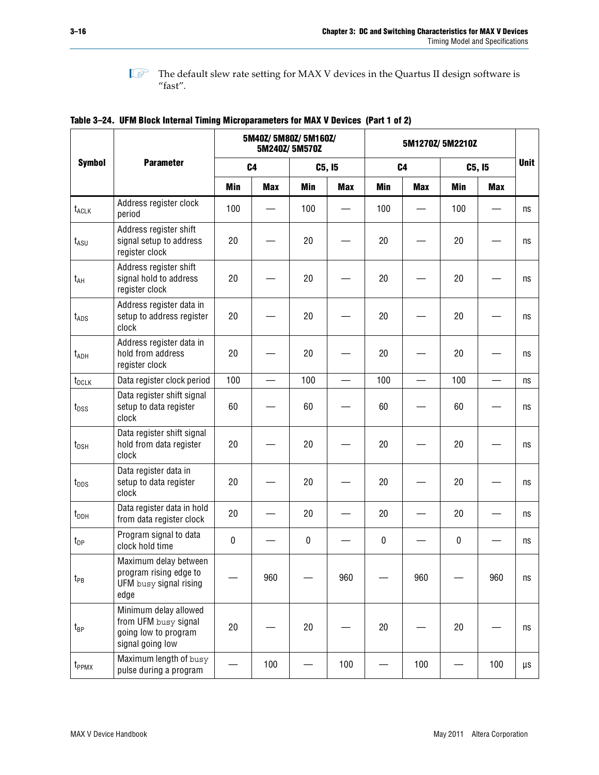

 $\mathbb{I}$  The default slew rate setting for MAX V devices in the Quartus II design software is  $^{\prime\prime}$  fast".

|                                    |                                                                                           | 5M40Z/ 5M80Z/ 5M160Z/<br>5M240Z/5M570Z |                |             |            | 5M1270Z/5M2210Z |                |            |                          |                         |
|------------------------------------|-------------------------------------------------------------------------------------------|----------------------------------------|----------------|-------------|------------|-----------------|----------------|------------|--------------------------|-------------------------|
| <b>Symbol</b>                      | <b>Parameter</b>                                                                          |                                        | C <sub>4</sub> |             | C5, I5     |                 | C <sub>4</sub> |            | C5, I5                   | <b>Unit</b>             |
|                                    |                                                                                           | Min                                    | <b>Max</b>     | Min         | <b>Max</b> | Min             | <b>Max</b>     | <b>Min</b> | Max                      |                         |
| t <sub>ACLK</sub>                  | Address register clock<br>period                                                          | 100                                    |                | 100         |            | 100             |                | 100        |                          | ns                      |
| $t_{ASU}$                          | Address register shift<br>signal setup to address<br>register clock                       | 20                                     |                | 20          |            | 20              |                | 20         |                          | ns                      |
| $t_{AH}$                           | Address register shift<br>signal hold to address<br>register clock                        | 20                                     |                | 20          |            | 20              |                | 20         |                          | ns                      |
| $t_{\mathsf{ADS}}$                 | Address register data in<br>setup to address register<br>clock                            | 20                                     |                | 20          |            | 20              |                | 20         |                          | ns                      |
| t <sub>ADH</sub>                   | Address register data in<br>hold from address<br>register clock                           | 20                                     |                | 20          |            | 20              |                | 20         |                          | ns                      |
| t <sub>DCLK</sub>                  | Data register clock period                                                                | 100                                    |                | 100         |            | 100             |                | 100        | $\overline{\phantom{0}}$ | ns                      |
| $t_{DSS}$                          | Data register shift signal<br>setup to data register<br>clock                             | 60                                     |                | 60          |            | 60              |                | 60         |                          | ns                      |
| $t_{DSH}$                          | Data register shift signal<br>hold from data register<br>clock                            | 20                                     |                | 20          |            | 20              |                | 20         |                          | ns                      |
| $t_{\text{DDS}}$                   | Data register data in<br>setup to data register<br>clock                                  | 20                                     |                | 20          |            | 20              |                | 20         |                          | ns                      |
| $t_{\scriptscriptstyle\text{DDH}}$ | Data register data in hold<br>from data register clock                                    | 20                                     |                | 20          |            | 20              |                | 20         |                          | ns                      |
| $t_{DP}$                           | Program signal to data<br>clock hold time                                                 | 0                                      |                | $\mathbf 0$ |            | $\pmb{0}$       |                | $\pmb{0}$  |                          | ns                      |
| $t_{PB}$                           | Maximum delay between<br>program rising edge to<br>UFM busy signal rising<br>edge         |                                        | 960            |             | 960        |                 | 960            |            | 960                      | $\operatorname{\sf ns}$ |
| t <sub>BP</sub>                    | Minimum delay allowed<br>from UFM busy signal<br>going low to program<br>signal going low | 20                                     |                | 20          |            | $20\,$          |                | $20\,$     |                          | ns                      |
| t <sub>PPMX</sub>                  | Maximum length of busy<br>pulse during a program                                          |                                        | 100            |             | 100        |                 | 100            |            | 100                      | μs                      |

<span id="page-15-0"></span>**Table 3–24. UFM Block Internal Timing Microparameters for MAX V Devices (Part 1 of 2)**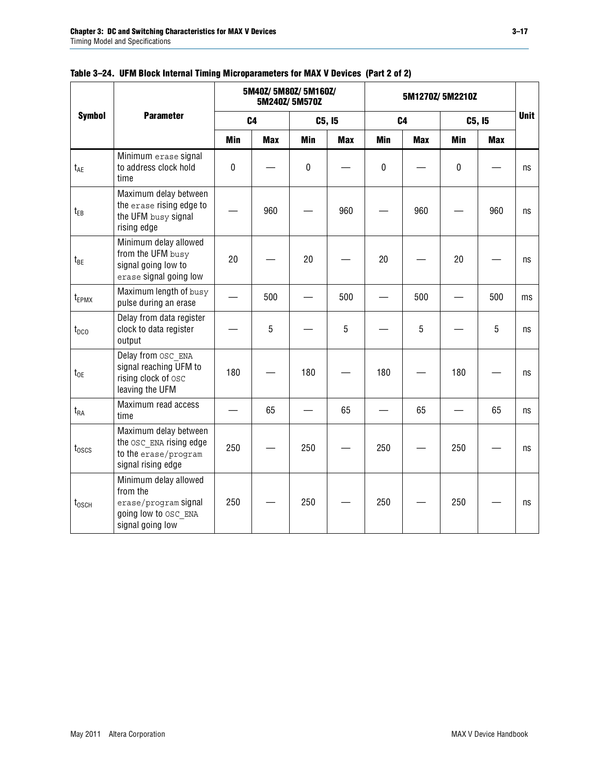|                 |                                                                                                       |            | 5M40Z/ 5M80Z/ 5M160Z/ | 5M240Z/5M570Z |            | 5M1270Z/5M2210Z |            |             |            |             |
|-----------------|-------------------------------------------------------------------------------------------------------|------------|-----------------------|---------------|------------|-----------------|------------|-------------|------------|-------------|
| <b>Symbol</b>   | <b>Parameter</b>                                                                                      |            | C <sub>4</sub>        |               | C5, I5     | C <sub>4</sub>  |            |             | C5, I5     | <b>Unit</b> |
|                 |                                                                                                       | <b>Min</b> | <b>Max</b>            | <b>Min</b>    | <b>Max</b> | <b>Min</b>      | <b>Max</b> | Min         | <b>Max</b> |             |
| t <sub>AE</sub> | Minimum erase signal<br>to address clock hold<br>time                                                 | 0          |                       | $\pmb{0}$     |            | $\pmb{0}$       |            | $\mathbf 0$ |            | ns          |
| $t_{EB}$        | Maximum delay between<br>the erase rising edge to<br>the UFM busy signal<br>rising edge               |            | 960                   |               | 960        |                 | 960        |             | 960        | ns          |
| $t_{BE}$        | Minimum delay allowed<br>from the UFM busy<br>signal going low to<br>erase signal going low           | 20         |                       | 20            |            | 20              |            | 20          |            | ns          |
| $t_{EPMX}$      | Maximum length of busy<br>pulse during an erase                                                       |            | 500                   |               | 500        |                 | 500        |             | 500        | ms          |
| $t_{DCO}$       | Delay from data register<br>clock to data register<br>output                                          |            | 5                     |               | 5          |                 | 5          |             | 5          | ns          |
| $t_{OE}$        | Delay from OSC ENA<br>signal reaching UFM to<br>rising clock of osc<br>leaving the UFM                | 180        |                       | 180           |            | 180             |            | 180         |            | ns          |
| $t_{RA}$        | Maximum read access<br>time                                                                           |            | 65                    |               | 65         |                 | 65         |             | 65         | ns          |
| $t_{\rm 0SCS}$  | Maximum delay between<br>the OSC ENA rising edge<br>to the erase/program<br>signal rising edge        | 250        |                       | 250           |            | 250             |            | 250         |            | ns          |
| $t_{\rm 0SCH}$  | Minimum delay allowed<br>from the<br>erase/program signal<br>going low to OSC ENA<br>signal going low | 250        |                       | 250           |            | 250             |            | 250         |            | ns          |

#### **Table 3–24. UFM Block Internal Timing Microparameters for MAX V Devices (Part 2 of 2)**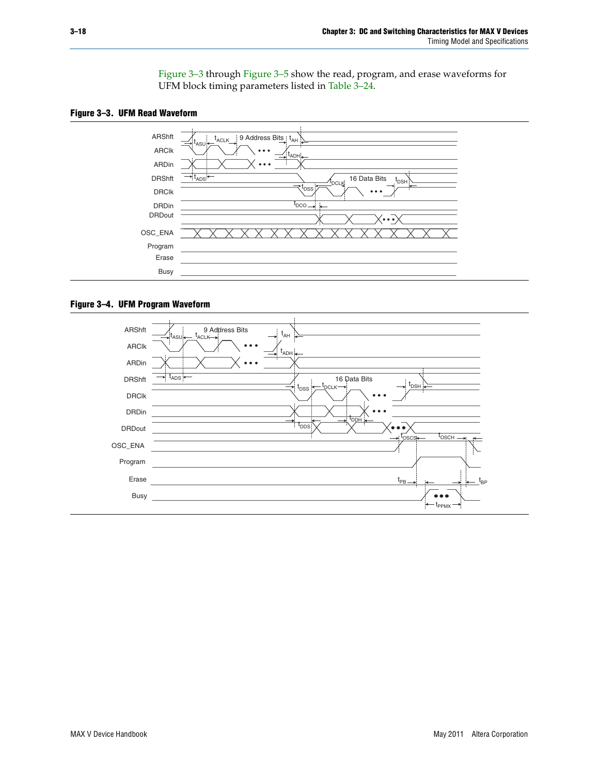[Figure 3–3](#page-17-0) through [Figure 3–5](#page-18-1) show the read, program, and erase waveforms for UFM block timing parameters listed in [Table 3–24.](#page-15-0)

<span id="page-17-0"></span>



#### **Figure 3–4. UFM Program Waveform**

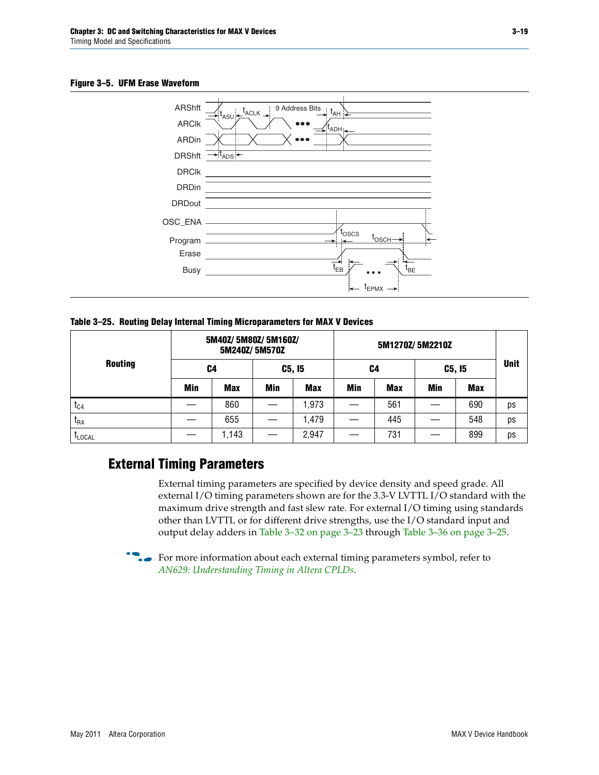#### <span id="page-18-1"></span>**Figure 3–5. UFM Erase Waveform**



<span id="page-18-0"></span>**Table 3–25. Routing Delay Internal Timing Microparameters for MAX V Devices**

|                |            | 5M40Z/5M80Z/5M160Z/ | 5M240Z/5M570Z |            |     |            |            |            |             |
|----------------|------------|---------------------|---------------|------------|-----|------------|------------|------------|-------------|
| <b>Routing</b> | C4         |                     | C5, I5        |            | C4  |            | C5, I5     |            | <b>Unit</b> |
|                | <b>Min</b> | <b>Max</b>          | <b>Min</b>    | <b>Max</b> | Min | <b>Max</b> | <b>Min</b> | <b>Max</b> |             |
| $t_{C4}$       |            | 860                 |               | ,973       |     | 561        |            | 690        | ps          |
| $I_{R4}$       |            | 655                 |               | 1,479      |     | 445        |            | 548        | ps          |
| <b>LLOCAL</b>  |            | 1,143               |               | 2,947      |     | 731        |            | 899        | ps          |

### **External Timing Parameters**

External timing parameters are specified by device density and speed grade. All external I/O timing parameters shown are for the 3.3-V LVTTL I/O standard with the maximum drive strength and fast slew rate. For external I/O timing using standards other than LVTTL or for different drive strengths, use the I/O standard input and output delay adders in [Table 3–32 on page 3–23](#page-22-0) through [Table 3–36 on page 3–25](#page-24-1).

 $\bullet$  For more information about each external timing parameters symbol, refer to *[AN629: Understanding Timing in Altera CPLDs](http://www.altera.com/literature/an/an629.pdf)*.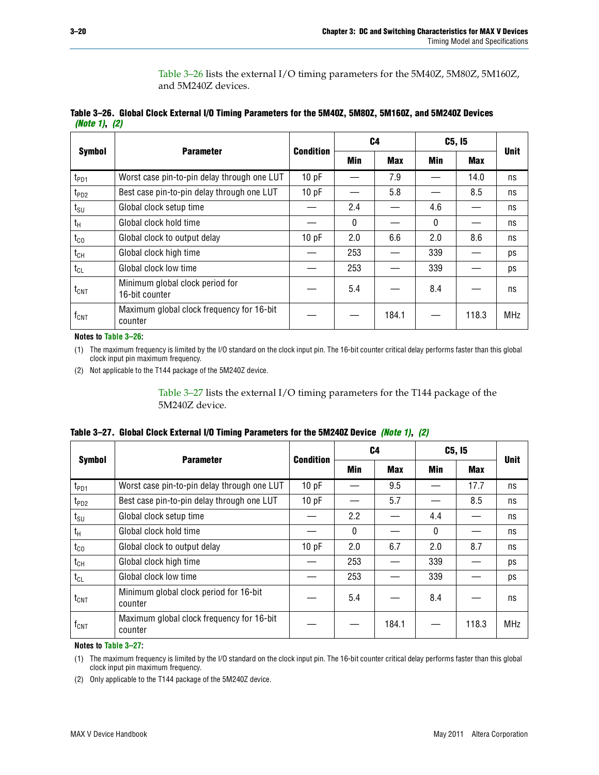[Table 3–26](#page-19-0) lists the external I/O timing parameters for the 5M40Z, 5M80Z, 5M160Z, and 5M240Z devices.

<span id="page-19-0"></span>

|               | Table 3–26. Global Clock External I/O Timing Parameters for the 5M40Z, 5M80Z, 5M160Z, and 5M240Z Devices |  |  |
|---------------|----------------------------------------------------------------------------------------------------------|--|--|
| (Note 1), (2) |                                                                                                          |  |  |

|                    |                                                      | <b>Condition</b> |              | C <sub>4</sub> |          | C5, I5     | <b>Unit</b> |
|--------------------|------------------------------------------------------|------------------|--------------|----------------|----------|------------|-------------|
| <b>Symbol</b>      | <b>Parameter</b>                                     |                  | Min          | <b>Max</b>     | Min      | <b>Max</b> |             |
| t <sub>PD1</sub>   | Worst case pin-to-pin delay through one LUT          | 10pF             |              | 7.9            |          | 14.0       | ns          |
| t <sub>PD2</sub>   | Best case pin-to-pin delay through one LUT           | 10pF             |              | 5.8            |          | 8.5        | ns          |
| $t_{\text{SU}}$    | Global clock setup time                              |                  | 2.4          |                | 4.6      |            | ns          |
| $t_{\rm H}$        | Global clock hold time                               |                  | $\mathbf{0}$ |                | $\Omega$ |            | ns          |
| $t_{CO}$           | Global clock to output delay                         | 10pF             | 2.0          | 6.6            | 2.0      | 8.6        | ns          |
| $t_{CH}$           | Global clock high time                               |                  | 253          |                | 339      |            | ps          |
| $t_{CL}$           | Global clock low time                                |                  | 253          |                | 339      |            | ps          |
| $t_{\text{CNT}}$   | Minimum global clock period for<br>16-bit counter    |                  | 5.4          |                | 8.4      |            | ns          |
| $f_{\mathsf{CNT}}$ | Maximum global clock frequency for 16-bit<br>counter |                  |              | 184.1          |          | 118.3      | <b>MHz</b>  |

**Notes to [Table 3–26](#page-19-0):**

<span id="page-19-2"></span>(1) The maximum frequency is limited by the I/O standard on the clock input pin. The 16-bit counter critical delay performs faster than this global clock input pin maximum frequency.

<span id="page-19-3"></span>(2) Not applicable to the T144 package of the 5M240Z device.

[Table 3–27](#page-19-1) lists the external I/O timing parameters for the T144 package of the 5M240Z device.

<span id="page-19-1"></span>

|  | Table 3–27. Global Clock External I/O Timing Parameters for the 5M240Z Device <i>(Note 1), (2)</i> |  |  |  |  |
|--|----------------------------------------------------------------------------------------------------|--|--|--|--|
|--|----------------------------------------------------------------------------------------------------|--|--|--|--|

|                    | <b>Parameter</b>                                     |                  | C <sub>4</sub> |            | C5, I5   | <b>Unit</b> |            |
|--------------------|------------------------------------------------------|------------------|----------------|------------|----------|-------------|------------|
| <b>Symbol</b>      |                                                      | <b>Condition</b> | Min            | <b>Max</b> | Min      | <b>Max</b>  |            |
| t <sub>PD1</sub>   | Worst case pin-to-pin delay through one LUT          | 10 pF            |                | 9.5        |          | 17.7        | ns         |
| t <sub>PD2</sub>   | Best case pin-to-pin delay through one LUT           | 10pF             |                | 5.7        |          | 8.5         | ns         |
| $t_{\text{SU}}$    | Global clock setup time                              |                  | 2.2            |            | 4.4      |             | ns         |
| $t_{\rm H}$        | Global clock hold time                               |                  | $\Omega$       |            | $\Omega$ |             | ns         |
| $t_{CO}$           | Global clock to output delay                         | 10pF             | 2.0            | 6.7        | 2.0      | 8.7         | ns         |
| t <sub>CH</sub>    | Global clock high time                               |                  | 253            |            | 339      |             | ps         |
| $t_{CL}$           | Global clock low time                                |                  | 253            |            | 339      |             | ps         |
| $t_{\text{CNT}}$   | Minimum global clock period for 16-bit<br>counter    |                  | 5.4            |            | 8.4      |             | ns         |
| $f_{\mathsf{CNT}}$ | Maximum global clock frequency for 16-bit<br>counter |                  |                | 184.1      |          | 118.3       | <b>MHz</b> |

**Notes to [Table 3–27](#page-19-1):**

<span id="page-19-4"></span>(1) The maximum frequency is limited by the I/O standard on the clock input pin. The 16-bit counter critical delay performs faster than this global clock input pin maximum frequency.

<span id="page-19-5"></span>(2) Only applicable to the T144 package of the 5M240Z device.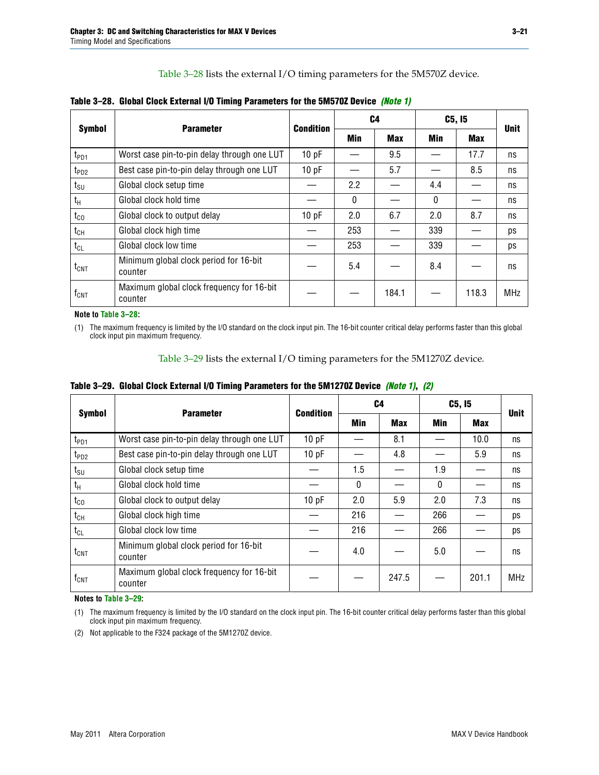[Table 3–28](#page-20-1) lists the external I/O timing parameters for the 5M570Z device.

|                             | <b>Parameter</b>                                     |                  |          | C4         | C5, I5 | <b>Unit</b> |            |
|-----------------------------|------------------------------------------------------|------------------|----------|------------|--------|-------------|------------|
| <b>Symbol</b>               |                                                      | <b>Condition</b> | Min      | <b>Max</b> | Min    | <b>Max</b>  |            |
| $t_{PD1}$                   | Worst case pin-to-pin delay through one LUT          | 10 pF            |          | 9.5        |        | 17.7        | ns         |
| $t_{PD2}$                   | Best case pin-to-pin delay through one LUT           | 10 pF            |          | 5.7        |        | 8.5         | ns         |
| $t_{\scriptstyle\text{SU}}$ | Global clock setup time                              |                  | 2.2      |            | 4.4    |             | ns         |
| t <sub>H</sub>              | Global clock hold time                               |                  | $\Omega$ |            | 0      |             | ns         |
| $t_{CO}$                    | Global clock to output delay                         | 10pF             | 2.0      | 6.7        | 2.0    | 8.7         | ns         |
| $t_{CH}$                    | Global clock high time                               |                  | 253      |            | 339    |             | ps         |
| $t_{CL}$                    | Global clock low time                                |                  | 253      |            | 339    |             | ps         |
| $\rm{t_{CNT}}$              | Minimum global clock period for 16-bit<br>counter    |                  | 5.4      |            | 8.4    |             | ns         |
| $\mathsf{f}_{\mathsf{CNT}}$ | Maximum global clock frequency for 16-bit<br>counter |                  |          | 184.1      |        | 118.3       | <b>MHz</b> |

<span id="page-20-1"></span>

**Note to [Table 3–28:](#page-20-1)**

<span id="page-20-2"></span>(1) The maximum frequency is limited by the I/O standard on the clock input pin. The 16-bit counter critical delay performs faster than this global clock input pin maximum frequency.

[Table 3–29](#page-20-0) lists the external I/O timing parameters for the 5M1270Z device.

<span id="page-20-0"></span>

|  | Table 3–29. Global Clock External I/O Timing Parameters for the 5M1270Z Device <i>(Note 1)</i> , (2) |  |
|--|------------------------------------------------------------------------------------------------------|--|
|--|------------------------------------------------------------------------------------------------------|--|

|                             | <b>Parameter</b>                                     | <b>Condition</b> |            | C4         | C5, I5   | <b>Unit</b> |            |
|-----------------------------|------------------------------------------------------|------------------|------------|------------|----------|-------------|------------|
| <b>Symbol</b>               |                                                      |                  | <b>Min</b> | <b>Max</b> | Min      | <b>Max</b>  |            |
| $t_{PD1}$                   | Worst case pin-to-pin delay through one LUT          | 10 pF            |            | 8.1        |          | 10.0        | ns         |
| $t_{PD2}$                   | Best case pin-to-pin delay through one LUT           | 10pF             |            | 4.8        |          | 5.9         | ns         |
| $t_{\scriptstyle\text{SU}}$ | Global clock setup time                              |                  | 1.5        |            | 1.9      |             | ns         |
| $t_{\rm H}$                 | Global clock hold time                               |                  | $\Omega$   |            | $\Omega$ |             | ns         |
| $t_{CO}$                    | Global clock to output delay                         | 10pF             | 2.0        | 5.9        | 2.0      | 7.3         | ns         |
| $t_{CH}$                    | Global clock high time                               |                  | 216        |            | 266      |             | ps         |
| $t_{CL}$                    | Global clock low time                                |                  | 216        |            | 266      |             | ps         |
| $t_{\text{CNT}}$            | Minimum global clock period for 16-bit<br>counter    |                  | 4.0        |            | 5.0      |             | ns         |
| $\mathsf{f}_{\mathsf{CNT}}$ | Maximum global clock frequency for 16-bit<br>counter |                  |            | 247.5      |          | 201.1       | <b>MHz</b> |

**Notes to [Table 3–29](#page-20-0):**

<span id="page-20-3"></span>(1) The maximum frequency is limited by the I/O standard on the clock input pin. The 16-bit counter critical delay performs faster than this global clock input pin maximum frequency.

<span id="page-20-4"></span>(2) Not applicable to the F324 package of the 5M1270Z device.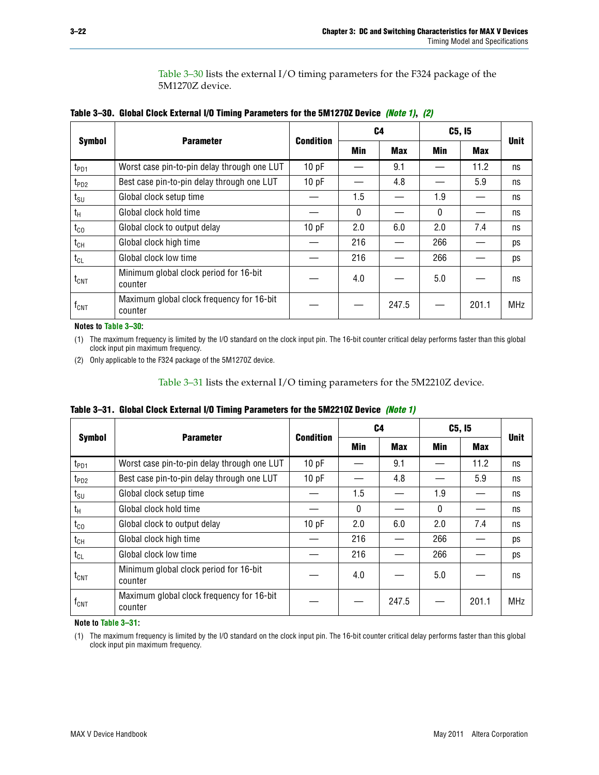[Table 3–30](#page-21-1) lists the external I/O timing parameters for the F324 package of the 5M1270Z device.

<span id="page-21-1"></span>

|  |  | Table 3–30. Global Clock External I/O Timing Parameters for the 5M1270Z Device <i>(Note 1)</i> , (2) |
|--|--|------------------------------------------------------------------------------------------------------|
|--|--|------------------------------------------------------------------------------------------------------|

|                  |                                                      |                  |            | C <sub>4</sub> | C5, I5     | <b>Unit</b> |     |
|------------------|------------------------------------------------------|------------------|------------|----------------|------------|-------------|-----|
| <b>Symbol</b>    | <b>Parameter</b>                                     | <b>Condition</b> | <b>Min</b> | <b>Max</b>     | <b>Min</b> | <b>Max</b>  |     |
| t <sub>PD1</sub> | Worst case pin-to-pin delay through one LUT          | 10pF             |            | 9.1            |            | 11.2        | ns  |
| t <sub>PD2</sub> | Best case pin-to-pin delay through one LUT           | 10pF             |            | 4.8            |            | 5.9         | ns  |
| $t_{\text{SU}}$  | Global clock setup time                              |                  | 1.5        |                | 1.9        |             | ns  |
| $t_{H}$          | Global clock hold time                               |                  | $\Omega$   |                | $\Omega$   |             | ns  |
| $t_{CO}$         | Global clock to output delay                         | 10pF             | 2.0        | 6.0            | 2.0        | 7.4         | ns  |
| $t_{CH}$         | Global clock high time                               |                  | 216        |                | 266        |             | ps  |
| $t_{CL}$         | Global clock low time                                |                  | 216        |                | 266        |             | ps  |
| $t_{\text{CNT}}$ | Minimum global clock period for 16-bit<br>counter    |                  | 4.0        |                | 5.0        |             | ns  |
| $f_{\text{CNT}}$ | Maximum global clock frequency for 16-bit<br>counter |                  |            | 247.5          |            | 201.1       | MHz |

**Notes to [Table 3–30](#page-21-1):**

<span id="page-21-2"></span>(1) The maximum frequency is limited by the I/O standard on the clock input pin. The 16-bit counter critical delay performs faster than this global clock input pin maximum frequency.

<span id="page-21-3"></span>(2) Only applicable to the F324 package of the 5M1270Z device.

[Table 3–31](#page-21-0) lists the external I/O timing parameters for the 5M2210Z device.

<span id="page-21-0"></span>

|  | Table 3–31.Global Clock External I/O Timing Parameters for the 5M2210Z Device <i>(Note 1)</i> |  |
|--|-----------------------------------------------------------------------------------------------|--|
|--|-----------------------------------------------------------------------------------------------|--|

| <b>Symbol</b>    | <b>Parameter</b>                                     | <b>Condition</b> | C4       |            | C5, I5     | <b>Unit</b> |            |
|------------------|------------------------------------------------------|------------------|----------|------------|------------|-------------|------------|
|                  |                                                      |                  | Min      | <b>Max</b> | <b>Min</b> | Max         |            |
| t <sub>PD1</sub> | Worst case pin-to-pin delay through one LUT          | 10pF             |          | 9.1        |            | 11.2        | ns         |
| $t_{PD2}$        | Best case pin-to-pin delay through one LUT           | 10pF             |          | 4.8        |            | 5.9         | ns         |
| $t_{\text{SU}}$  | Global clock setup time                              |                  | 1.5      |            | 1.9        |             | ns         |
| $t_{H}$          | Global clock hold time                               |                  | $\Omega$ |            | $\Omega$   |             | ns         |
| $t_{CO}$         | Global clock to output delay                         | 10pF             | 2.0      | 6.0        | 2.0        | 7.4         | ns         |
| $t_{CH}$         | Global clock high time                               |                  | 216      |            | 266        |             | ps         |
| $t_{CL}$         | Global clock low time                                |                  | 216      |            | 266        |             | ps         |
| $t_{\text{CNT}}$ | Minimum global clock period for 16-bit<br>counter    |                  | 4.0      |            | 5.0        |             | ns         |
| $f_{\text{CNT}}$ | Maximum global clock frequency for 16-bit<br>counter |                  |          | 247.5      |            | 201.1       | <b>MHz</b> |

**Note to [Table 3–31:](#page-21-0)**

<span id="page-21-4"></span>(1) The maximum frequency is limited by the I/O standard on the clock input pin. The 16-bit counter critical delay performs faster than this global clock input pin maximum frequency.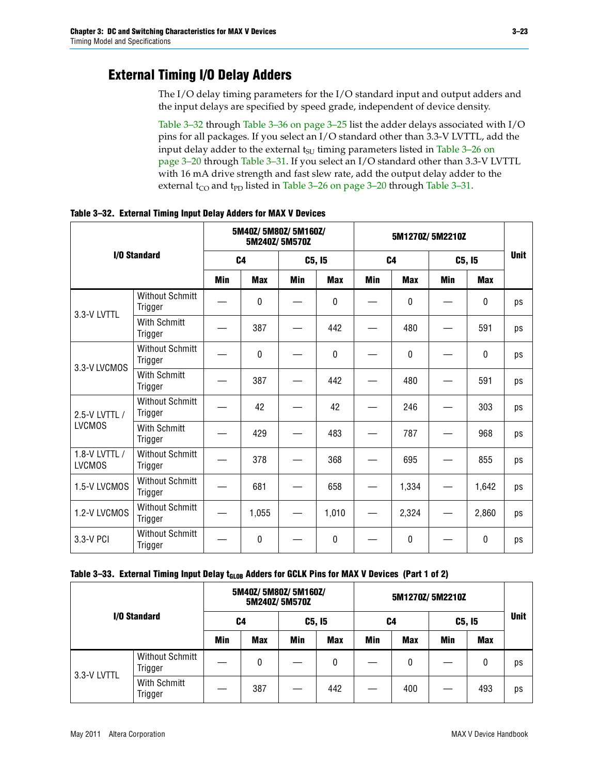## **External Timing I/O Delay Adders**

The I/O delay timing parameters for the I/O standard input and output adders and the input delays are specified by speed grade, independent of device density.

[Table 3–32](#page-22-0) through [Table 3–36 on page 3–25](#page-24-1) list the adder delays associated with I/O pins for all packages. If you select an I/O standard other than 3.3-V LVTTL, add the input delay adder to the external  $t_{\text{SU}}$  timing parameters listed in Table 3–26 on [page 3–20](#page-19-0) through [Table 3–31.](#page-21-0) If you select an I/O standard other than 3.3-V LVTTL with 16 mA drive strength and fast slew rate, add the output delay adder to the external  $t_{CO}$  and  $t_{PD}$  listed in [Table 3–26 on page 3–20](#page-19-0) through [Table 3–31.](#page-21-0)

| <b>I/O Standard</b>            |                                   | 5M40Z/5M80Z/5M160Z/<br>5M240Z/5M570Z |            |            |            |                |              |            |              |             |
|--------------------------------|-----------------------------------|--------------------------------------|------------|------------|------------|----------------|--------------|------------|--------------|-------------|
|                                |                                   | C <sub>4</sub>                       |            | C5, I5     |            | C <sub>4</sub> |              | C5, I5     |              | <b>Unit</b> |
|                                |                                   | <b>Min</b>                           | <b>Max</b> | <b>Min</b> | <b>Max</b> | <b>Min</b>     | <b>Max</b>   | <b>Min</b> | <b>Max</b>   |             |
| 3.3-V LVTTL                    | <b>Without Schmitt</b><br>Trigger |                                      | 0          |            | $\Omega$   |                | $\mathbf{0}$ |            | $\mathbf{0}$ | ps          |
|                                | <b>With Schmitt</b><br>Trigger    |                                      | 387        |            | 442        |                | 480          |            | 591          | ps          |
| 3.3-V LVCMOS                   | <b>Without Schmitt</b><br>Trigger |                                      | 0          |            | 0          |                | 0            |            | $\mathbf 0$  | ps          |
|                                | <b>With Schmitt</b><br>Trigger    |                                      | 387        |            | 442        |                | 480          |            | 591          | ps          |
| 2.5-V LVTTL /                  | <b>Without Schmitt</b><br>Trigger |                                      | 42         |            | 42         |                | 246          |            | 303          | ps          |
| <b>LVCMOS</b>                  | With Schmitt<br>Trigger           |                                      | 429        |            | 483        |                | 787          |            | 968          | ps          |
| 1.8-V LVTTL /<br><b>LVCMOS</b> | <b>Without Schmitt</b><br>Trigger |                                      | 378        |            | 368        |                | 695          |            | 855          | ps          |
| 1.5-V LVCMOS                   | <b>Without Schmitt</b><br>Trigger |                                      | 681        |            | 658        |                | 1,334        |            | 1,642        | ps          |
| 1.2-V LVCMOS                   | <b>Without Schmitt</b><br>Trigger |                                      | 1,055      |            | 1,010      |                | 2,324        |            | 2,860        | ps          |
| 3.3-V PCI                      | <b>Without Schmitt</b><br>Trigger |                                      | 0          |            | 0          |                | 0            |            | 0            | ps          |

<span id="page-22-0"></span>**Table 3–32. External Timing Input Delay Adders for MAX V Devices**

<span id="page-22-1"></span>

| Table 3–33. External Timing Input Delay t <sub>GLOB</sub> Adders for GCLK Pins for MAX V Devices (Part 1 of 2) |  |  |
|----------------------------------------------------------------------------------------------------------------|--|--|
|----------------------------------------------------------------------------------------------------------------|--|--|

| I/O Standard |                                   |            | 5M40Z/ 5M80Z/ 5M160Z/ | 5M240Z/5M570Z |            |     |            |        |            |             |
|--------------|-----------------------------------|------------|-----------------------|---------------|------------|-----|------------|--------|------------|-------------|
|              |                                   | C4         |                       | C5, I5        |            | C4  |            | C5, I5 |            | <b>Unit</b> |
|              |                                   | <b>Min</b> | <b>Max</b>            | Min           | <b>Max</b> | Min | <b>Max</b> | Min    | <b>Max</b> |             |
| 3.3-V LVTTL  | <b>Without Schmitt</b><br>Trigger |            | 0                     |               | 0          |     | 0          |        | 0          | ps          |
|              | With Schmitt<br>Trigger           |            | 387                   |               | 442        |     | 400        |        | 493        | ps          |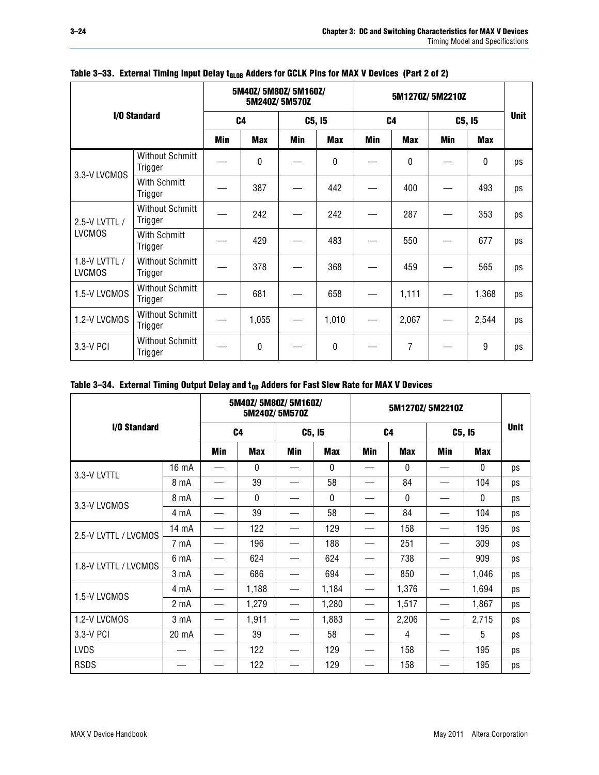| I/O Standard                   |                                   | 5M40Z/ 5M80Z/ 5M160Z/<br>5M240Z/5M570Z |              |            |            | 5M1270Z/5M2210Z |            |        |            |             |
|--------------------------------|-----------------------------------|----------------------------------------|--------------|------------|------------|-----------------|------------|--------|------------|-------------|
|                                |                                   | C <sub>4</sub>                         |              | C5, I5     |            | C <sub>4</sub>  |            | C5, I5 |            | <b>Unit</b> |
|                                |                                   | Min                                    | <b>Max</b>   | <b>Min</b> | <b>Max</b> | Min             | <b>Max</b> | Min    | <b>Max</b> |             |
| 3.3-V LVCMOS                   | <b>Without Schmitt</b><br>Trigger |                                        | $\mathbf{0}$ |            | 0          |                 | 0          |        | 0          | ps          |
| <b>With Schmitt</b><br>Trigger |                                   |                                        | 387          |            | 442        |                 | 400        |        | 493        | ps          |
| 2.5-V LVTTL /                  | <b>Without Schmitt</b><br>Trigger |                                        | 242          |            | 242        |                 | 287        |        | 353        | ps          |
| <b>LVCMOS</b>                  | With Schmitt<br>Trigger           |                                        | 429          |            | 483        |                 | 550        |        | 677        | ps          |
| 1.8-V LVTTL /<br><b>LVCMOS</b> | <b>Without Schmitt</b><br>Trigger |                                        | 378          |            | 368        |                 | 459        |        | 565        | ps          |
| 1.5-V LVCMOS                   | <b>Without Schmitt</b><br>Trigger |                                        | 681          |            | 658        |                 | 1,111      |        | 1,368      | ps          |
| 1.2-V LVCMOS                   | <b>Without Schmitt</b><br>Trigger |                                        | 1,055        |            | 1,010      |                 | 2,067      |        | 2,544      | ps          |
| 3.3-V PCI                      | <b>Without Schmitt</b><br>Trigger |                                        | $\Omega$     |            | 0          |                 | 7          |        | 9          | ps          |

### Table 3-33. External Timing Input Delay t<sub>GLOB</sub> Adders for GCLK Pins for MAX V Devices (Part 2 of 2)

#### <span id="page-23-0"></span>Table 3-34. External Timing Output Delay and t<sub>op</sub> Adders for Fast Slew Rate for MAX V Devices

| I/O Standard         |                  | 5M40Z/5M80Z/5M160Z/<br>5M240Z/5M570Z |              |        |            | 5M1270Z/5M2210Z |              |        |              |             |
|----------------------|------------------|--------------------------------------|--------------|--------|------------|-----------------|--------------|--------|--------------|-------------|
|                      |                  | C <sub>4</sub>                       |              | C5, I5 |            | C <sub>4</sub>  |              | C5, I5 |              | <b>Unit</b> |
|                      |                  | Min                                  | <b>Max</b>   | Min    | <b>Max</b> | <b>Min</b>      | <b>Max</b>   | Min    | <b>Max</b>   |             |
| 3.3-V LVTTL          | 16 mA            |                                      | 0            |        | 0          |                 | $\mathbf{0}$ |        | 0            | ps          |
|                      | 8 mA             |                                      | 39           |        | 58         |                 | 84           |        | 104          | ps          |
|                      | 8 mA             |                                      | $\mathbf{0}$ |        | $\Omega$   |                 | $\Omega$     |        | $\mathbf{0}$ | ps          |
| 3.3-V LVCMOS         | 4 mA             |                                      | 39           |        | 58         |                 | 84           |        | 104          | ps          |
| 2.5-V LVTTL / LVCMOS | 14 mA            |                                      | 122          |        | 129        |                 | 158          |        | 195          | ps          |
|                      | 7 mA             |                                      | 196          |        | 188        |                 | 251          |        | 309          | ps          |
| 1.8-V LVTTL / LVCMOS | 6 mA             |                                      | 624          |        | 624        |                 | 738          |        | 909          | ps          |
|                      | 3 mA             |                                      | 686          |        | 694        |                 | 850          |        | 1,046        | ps          |
| 1.5-V LVCMOS         | 4 mA             |                                      | 1,188        |        | 1,184      |                 | 1,376        |        | 1,694        | ps          |
|                      | 2 <sub>m</sub> A |                                      | 1,279        |        | 1,280      |                 | 1,517        |        | 1,867        | ps          |
| 1.2-V LVCMOS         | 3 mA             |                                      | 1,911        |        | 1,883      |                 | 2,206        |        | 2,715        | ps          |
| 3.3-V PCI            | 20 mA            |                                      | 39           |        | 58         |                 | 4            |        | 5            | ps          |
| <b>LVDS</b>          |                  |                                      | 122          |        | 129        |                 | 158          |        | 195          | ps          |
| <b>RSDS</b>          |                  |                                      | 122          |        | 129        |                 | 158          |        | 195          | ps          |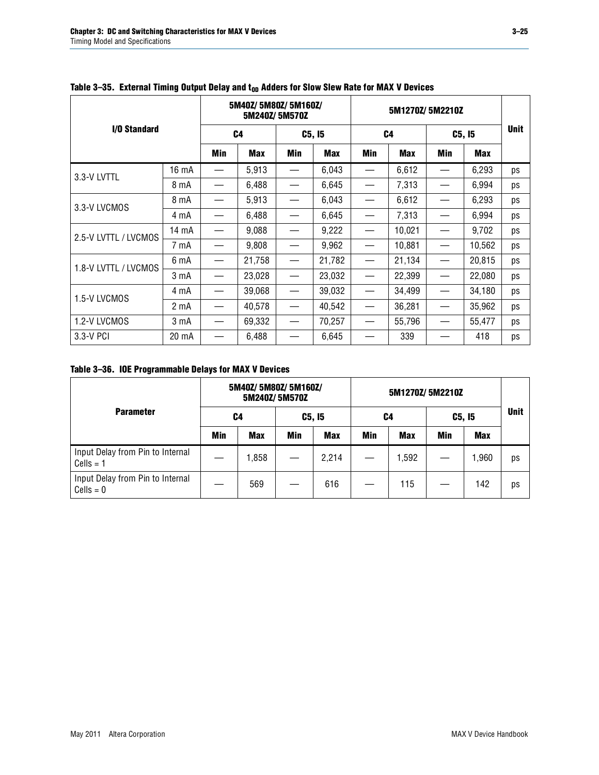| I/O Standard         |       | 5M40Z/5M80Z/5M160Z/<br>5M240Z/5M570Z |            |                                 |            | 5M1270Z/5M2210Z |            |        |        |             |
|----------------------|-------|--------------------------------------|------------|---------------------------------|------------|-----------------|------------|--------|--------|-------------|
|                      |       | C <sub>4</sub>                       |            | C5, I5                          |            | C <sub>4</sub>  |            | C5, I5 |        | <b>Unit</b> |
|                      |       | Min                                  | <b>Max</b> | Min                             | <b>Max</b> | Min             | <b>Max</b> | Min    | Max    |             |
| 3.3-V LVTTL          | 16 mA | $\hspace{0.05cm}$                    | 5,913      | $\hspace{0.1mm}-\hspace{0.1mm}$ | 6,043      |                 | 6,612      |        | 6,293  | ps          |
|                      | 8 mA  |                                      | 6,488      |                                 | 6,645      |                 | 7,313      |        | 6,994  | ps          |
| 3.3-V LVCMOS         | 8 mA  |                                      | 5,913      |                                 | 6,043      |                 | 6,612      |        | 6,293  | ps          |
|                      | 4 mA  |                                      | 6,488      |                                 | 6,645      |                 | 7,313      |        | 6,994  | ps          |
| 2.5-V LVTTL / LVCMOS | 14 mA |                                      | 9,088      |                                 | 9,222      |                 | 10,021     |        | 9,702  | ps          |
|                      | 7 mA  |                                      | 9,808      |                                 | 9,962      |                 | 10,881     |        | 10,562 | ps          |
| 1.8-V LVTTL / LVCMOS | 6 mA  |                                      | 21,758     | —                               | 21,782     |                 | 21,134     |        | 20,815 | ps          |
|                      | 3 mA  |                                      | 23,028     |                                 | 23,032     |                 | 22,399     |        | 22,080 | ps          |
|                      | 4 mA  |                                      | 39,068     |                                 | 39,032     |                 | 34,499     |        | 34,180 | ps          |
| 1.5-V LVCMOS         | 2 mA  |                                      | 40,578     |                                 | 40,542     |                 | 36,281     |        | 35,962 | ps          |
| 1.2-V LVCMOS         | 3 mA  | $\overline{\phantom{0}}$             | 69,332     |                                 | 70,257     |                 | 55,796     |        | 55,477 | ps          |
| 3.3-V PCI            | 20 mA |                                      | 6,488      |                                 | 6,645      |                 | 339        |        | 418    | ps          |

<span id="page-24-0"></span>Table 3-35. External Timing Output Delay and t<sub>op</sub> Adders for Slow Slew Rate for MAX V Devices

<span id="page-24-1"></span>**Table 3–36. IOE Programmable Delays for MAX V Devices**

|                                                 | 5M40Z/5M80Z/5M160Z/<br>5M240Z/5M570Z |            |        |       | 5M1270Z/5M2210Z |            |        |            |             |
|-------------------------------------------------|--------------------------------------|------------|--------|-------|-----------------|------------|--------|------------|-------------|
| <b>Parameter</b>                                | C4                                   |            | C5, I5 |       | C4              |            | C5, I5 |            | <b>Unit</b> |
|                                                 | Min                                  | <b>Max</b> | Min    | Max   | Min             | <b>Max</b> | Min    | <b>Max</b> |             |
| Input Delay from Pin to Internal<br>$Cells = 1$ |                                      | 1,858      |        | 2,214 |                 | 1,592      |        | 1,960      | ps          |
| Input Delay from Pin to Internal<br>$Cells = 0$ |                                      | 569        |        | 616   |                 | 115        |        | 142        | ps          |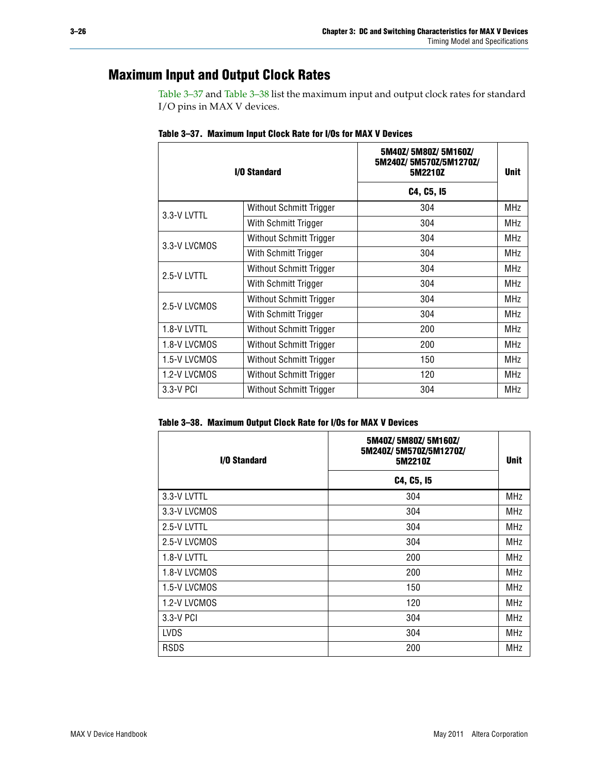### **Maximum Input and Output Clock Rates**

[Table 3–37](#page-25-0) and [Table 3–38](#page-25-1) list the maximum input and output clock rates for standard I/O pins in MAX V devices.

| <b>I/O Standard</b> |                         | 5M40Z/5M80Z/5M160Z/<br>5M240Z/5M570Z/5M1270Z/<br>5M2210Z | <b>Unit</b> |
|---------------------|-------------------------|----------------------------------------------------------|-------------|
|                     |                         | C4, C5, I5                                               |             |
| 3.3-V LVTTL         | Without Schmitt Trigger | 304                                                      | <b>MHz</b>  |
|                     | With Schmitt Trigger    | 304                                                      | MHz         |
|                     | Without Schmitt Trigger | 304                                                      | <b>MHz</b>  |
| 3.3-V LVCMOS        | With Schmitt Trigger    | 304                                                      | MHz         |
| 2.5-V LVTTL         | Without Schmitt Trigger | 304                                                      | <b>MHz</b>  |
|                     | With Schmitt Trigger    | 304                                                      | MHz         |
| 2.5-V LVCMOS        | Without Schmitt Trigger | 304                                                      | MHz         |
|                     | With Schmitt Trigger    | 304                                                      | MHz         |
| 1.8-V LVTTL         | Without Schmitt Trigger | 200                                                      | MHz         |
| 1.8-V LVCMOS        | Without Schmitt Trigger | 200                                                      | <b>MHz</b>  |
| 1.5-V LVCMOS        | Without Schmitt Trigger | 150                                                      | MHz         |
| 1.2-V LVCMOS        | Without Schmitt Trigger | 120                                                      | MHz         |
| $3.3-V$ PCI         | Without Schmitt Trigger | 304                                                      | MHz         |

<span id="page-25-0"></span>

|  |  | Table 3-37. Maximum Input Clock Rate for I/Os for MAX V Devices |
|--|--|-----------------------------------------------------------------|
|  |  |                                                                 |

#### <span id="page-25-1"></span>**Table 3–38. Maximum Output Clock Rate for I/Os for MAX V Devices**

| I/O Standard | 5M40Z/5M80Z/5M160Z/<br>5M240Z/5M570Z/5M1270Z/<br>5M2210Z | <b>Unit</b> |
|--------------|----------------------------------------------------------|-------------|
|              | C4, C5, I5                                               |             |
| 3.3-V LVTTL  | 304                                                      | <b>MHz</b>  |
| 3.3-V LVCMOS | 304                                                      | <b>MHz</b>  |
| 2.5-V LVTTL  | 304                                                      | <b>MHz</b>  |
| 2.5-V LVCMOS | 304                                                      | <b>MHz</b>  |
| 1.8-V LVTTL  | 200                                                      | <b>MHz</b>  |
| 1.8-V LVCMOS | 200                                                      | <b>MHz</b>  |
| 1.5-V LVCMOS | 150                                                      | <b>MHz</b>  |
| 1.2-V LVCMOS | 120                                                      | <b>MHz</b>  |
| 3.3-V PCI    | 304                                                      | <b>MHz</b>  |
| <b>LVDS</b>  | 304                                                      | <b>MHz</b>  |
| <b>RSDS</b>  | 200                                                      | <b>MHz</b>  |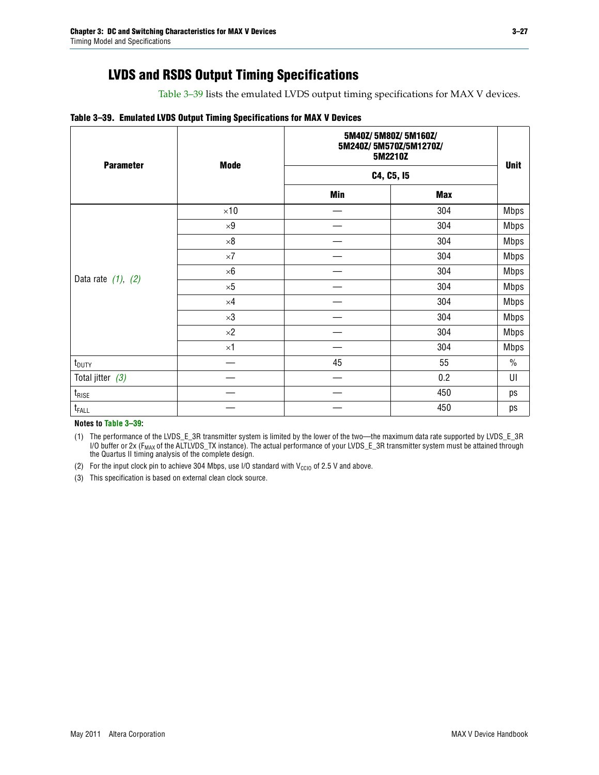## **LVDS and RSDS Output Timing Specifications**

[Table 3–39](#page-26-0) lists the emulated LVDS output timing specifications for MAX V devices.

#### <span id="page-26-0"></span>**Table 3–39. Emulated LVDS Output Timing Specifications for MAX V Devices**

| <b>Parameter</b>        | <b>Mode</b> |     | 5M40Z/5M80Z/5M160Z/<br>5M240Z/5M570Z/5M1270Z/<br>5M2210Z |             |  |  |  |
|-------------------------|-------------|-----|----------------------------------------------------------|-------------|--|--|--|
|                         |             |     | C4, C5, I5                                               |             |  |  |  |
|                         |             | Min | <b>Max</b>                                               |             |  |  |  |
|                         | $\times 10$ |     | 304                                                      | <b>Mbps</b> |  |  |  |
|                         | $\times 9$  |     | 304                                                      | <b>Mbps</b> |  |  |  |
|                         | $\times 8$  |     | 304                                                      | <b>Mbps</b> |  |  |  |
|                         | $\times 7$  |     | 304                                                      | <b>Mbps</b> |  |  |  |
|                         | $\times 6$  |     | 304                                                      | <b>Mbps</b> |  |  |  |
| Data rate $(1)$ , $(2)$ | $\times 5$  |     | 304                                                      | <b>Mbps</b> |  |  |  |
|                         | $\times 4$  |     | 304                                                      | <b>Mbps</b> |  |  |  |
|                         | $\times 3$  |     | 304                                                      | <b>Mbps</b> |  |  |  |
|                         | $\times 2$  |     | 304                                                      | <b>Mbps</b> |  |  |  |
|                         | $\times1$   |     | 304                                                      | <b>Mbps</b> |  |  |  |
| $t_{\text{DUTY}}$       |             | 45  | 55                                                       | $\%$        |  |  |  |
| Total jitter $(3)$      |             |     | 0.2                                                      | UI          |  |  |  |
| $t_{\rm RISE}$          |             |     | 450                                                      | ps          |  |  |  |
| $t_{FALL}$              |             |     | 450                                                      | ps          |  |  |  |

**Notes to [Table 3–39](#page-26-0):**

<span id="page-26-1"></span>(1) The performance of the LVDS\_E\_3R transmitter system is limited by the lower of the two—the maximum data rate supported by LVDS\_E\_3R I/O buffer or 2x (F<sub>MAX</sub> of the ALTLVDS\_TX instance). The actual performance of your LVDS\_E\_3R transmitter system must be attained through the Quartus II timing analysis of the complete design.

<span id="page-26-3"></span>(2) For the input clock pin to achieve 304 Mbps, use I/O standard with  $V_{\text{CCIO}}$  of 2.5 V and above.

<span id="page-26-2"></span>(3) This specification is based on external clean clock source.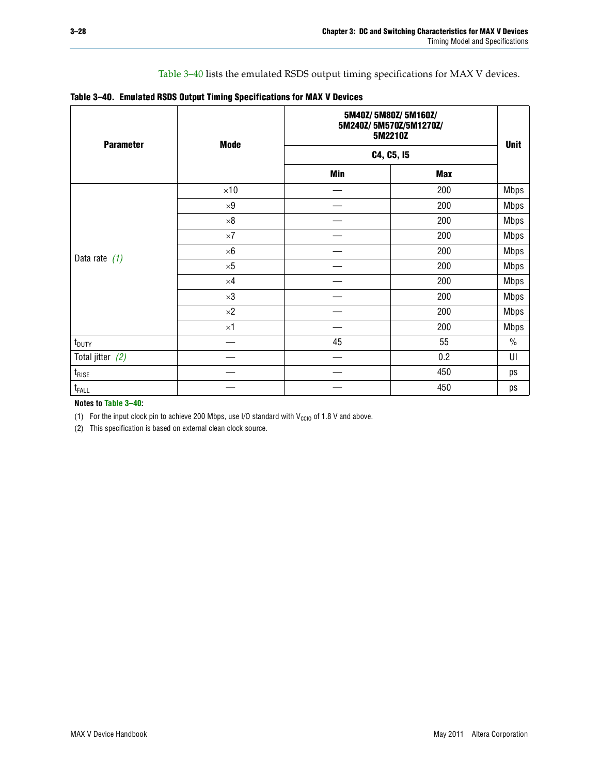[Table 3–40](#page-27-0) lists the emulated RSDS output timing specifications for MAX V devices.

<span id="page-27-0"></span>

| Table 3-40. Emulated RSDS Output Timing Specifications for MAX V Devices |  |
|--------------------------------------------------------------------------|--|
|--------------------------------------------------------------------------|--|

| <b>Parameter</b>  | <b>Mode</b> |            | 5M40Z/5M80Z/5M160Z/<br>5M240Z/5M570Z/5M1270Z/<br>5M2210Z |             |  |  |
|-------------------|-------------|------------|----------------------------------------------------------|-------------|--|--|
|                   |             | C4, C5, I5 | <b>Unit</b>                                              |             |  |  |
|                   |             | <b>Min</b> | <b>Max</b>                                               |             |  |  |
|                   | $\times 10$ |            | 200                                                      | <b>Mbps</b> |  |  |
|                   | $\times 9$  |            | 200                                                      | <b>Mbps</b> |  |  |
|                   | $\times 8$  |            | 200                                                      | <b>Mbps</b> |  |  |
|                   | $\times 7$  |            | 200                                                      | <b>Mbps</b> |  |  |
|                   | $\times 6$  |            | 200                                                      | <b>Mbps</b> |  |  |
| Data rate $(1)$   | $\times 5$  |            | 200                                                      | <b>Mbps</b> |  |  |
|                   | $\times 4$  |            | 200                                                      | <b>Mbps</b> |  |  |
|                   | $\times 3$  |            | 200                                                      | <b>Mbps</b> |  |  |
|                   | $\times 2$  |            | 200                                                      | <b>Mbps</b> |  |  |
|                   | $\times$ 1  |            | 200                                                      | <b>Mbps</b> |  |  |
| $t_{\text{DUTY}}$ |             | 45         | 55                                                       | $\%$        |  |  |
| Total jitter (2)  |             |            | 0.2                                                      | UI          |  |  |
| $t_{\rm RISE}$    |             |            | 450                                                      | ps          |  |  |
| $t_{FALL}$        |             |            | 450                                                      | ps          |  |  |

**Notes to [Table 3–40](#page-27-0):**

<span id="page-27-1"></span>(1) For the input clock pin to achieve 200 Mbps, use I/O standard with  $V_{\text{CCIO}}$  of 1.8 V and above.

<span id="page-27-2"></span>(2) This specification is based on external clean clock source.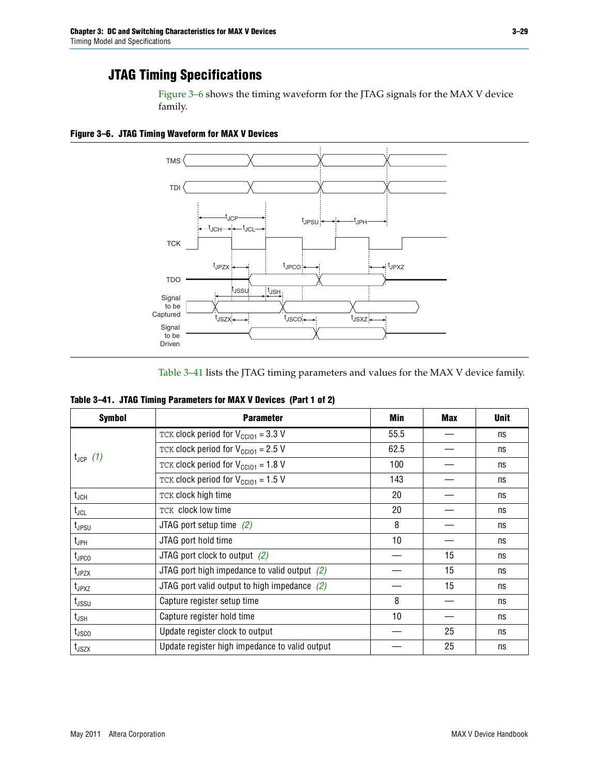### **JTAG Timing Specifications**

[Figure 3–6](#page-28-1) shows the timing waveform for the JTAG signals for the MAX V device family.

<span id="page-28-1"></span>**Figure 3–6. JTAG Timing Waveform for MAX V Devices**



[Table 3–41](#page-28-0) lists the JTAG timing parameters and values for the MAX V device family.

<span id="page-28-0"></span>

| <b>Symbol</b>      | <b>Parameter</b>                                            | Min  | <b>Max</b> | <b>Unit</b> |
|--------------------|-------------------------------------------------------------|------|------------|-------------|
|                    | TCK clock period for $V_{\text{CC}}$ <sub>101</sub> = 3.3 V | 55.5 |            | ns          |
|                    | TCK clock period for $V_{CC101} = 2.5 V$                    | 62.5 |            | ns          |
| $t_{JCP}$ (1)      | TCK clock period for $V_{\text{CC101}} = 1.8 \text{ V}$     | 100  |            | ns          |
|                    | TCK clock period for $V_{\text{CC101}} = 1.5$ V             | 143  |            | ns          |
| $t_{JCH}$          | TCK clock high time                                         | 20   |            | ns          |
| $t_{\sf JCL}$      | TCK clock low time                                          | 20   |            | ns          |
| $t_{JPSU}$         | JTAG port setup time $(2)$                                  | 8    |            | ns          |
| t <sub>JPH</sub>   | JTAG port hold time                                         | 10   |            | ns          |
| $t_{\text{JPCO}}$  | JTAG port clock to output $(2)$                             |      | 15         | ns          |
| t <sub>JPZX</sub>  | JTAG port high impedance to valid output $(2)$              |      | 15         | ns          |
| $t_{JPXZ}$         | JTAG port valid output to high impedance $(2)$              |      | 15         | ns          |
| t <sub>JSSU</sub>  | Capture register setup time                                 | 8    |            | ns          |
| $t_{\mathsf{JSH}}$ | Capture register hold time                                  | 10   |            | ns          |
| t <sub>JSCO</sub>  | Update register clock to output                             |      | 25         | ns          |
| $t_{\text{JSZX}}$  | Update register high impedance to valid output              |      | 25         | ns          |